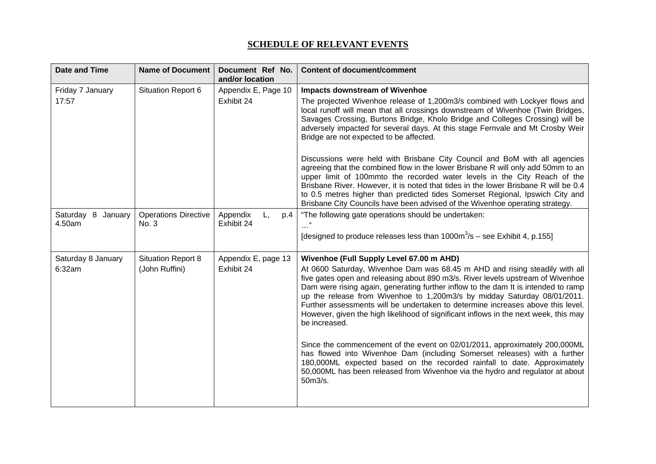## **SCHEDULE OF RELEVANT EVENTS**

| <b>Date and Time</b> | <b>Name of Document</b>     | Document Ref No.<br>and/or location | <b>Content of document/comment</b>                                                                                                                                                                                                                                                                                                                                                                                                                                                                                           |
|----------------------|-----------------------------|-------------------------------------|------------------------------------------------------------------------------------------------------------------------------------------------------------------------------------------------------------------------------------------------------------------------------------------------------------------------------------------------------------------------------------------------------------------------------------------------------------------------------------------------------------------------------|
| Friday 7 January     | Situation Report 6          | Appendix E, Page 10                 | <b>Impacts downstream of Wivenhoe</b>                                                                                                                                                                                                                                                                                                                                                                                                                                                                                        |
| 17:57                |                             | Exhibit 24                          | The projected Wivenhoe release of 1,200m3/s combined with Lockyer flows and<br>local runoff will mean that all crossings downstream of Wivenhoe (Twin Bridges,<br>Savages Crossing, Burtons Bridge, Kholo Bridge and Colleges Crossing) will be<br>adversely impacted for several days. At this stage Fernvale and Mt Crosby Weir<br>Bridge are not expected to be affected.                                                                                                                                                 |
|                      |                             |                                     | Discussions were held with Brisbane City Council and BoM with all agencies<br>agreeing that the combined flow in the lower Brisbane R will only add 50mm to an<br>upper limit of 100mmto the recorded water levels in the City Reach of the<br>Brisbane River. However, it is noted that tides in the lower Brisbane R will be 0.4<br>to 0.5 metres higher than predicted tides Somerset Regional, Ipswich City and<br>Brisbane City Councils have been advised of the Wivenhoe operating strategy.                          |
| Saturday 8 January   | <b>Operations Directive</b> | Appendix<br>L,<br>p.4               | "The following gate operations should be undertaken:                                                                                                                                                                                                                                                                                                                                                                                                                                                                         |
| 4.50am               | No. 3                       | Exhibit 24                          | [designed to produce releases less than $1000\,\text{m}^3/\text{s}$ – see Exhibit 4, p.155]                                                                                                                                                                                                                                                                                                                                                                                                                                  |
| Saturday 8 January   | <b>Situation Report 8</b>   | Appendix E, page 13                 | Wivenhoe (Full Supply Level 67.00 m AHD)                                                                                                                                                                                                                                                                                                                                                                                                                                                                                     |
| 6:32am               | (John Ruffini)              | Exhibit 24                          | At 0600 Saturday, Wivenhoe Dam was 68.45 m AHD and rising steadily with all<br>five gates open and releasing about 890 m3/s. River levels upstream of Wivenhoe<br>Dam were rising again, generating further inflow to the dam It is intended to ramp<br>up the release from Wivenhoe to 1,200m3/s by midday Saturday 08/01/2011.<br>Further assessments will be undertaken to determine increases above this level.<br>However, given the high likelihood of significant inflows in the next week, this may<br>be increased. |
|                      |                             |                                     | Since the commencement of the event on 02/01/2011, approximately 200,000ML<br>has flowed into Wivenhoe Dam (including Somerset releases) with a further<br>180,000ML expected based on the recorded rainfall to date. Approximately<br>50,000ML has been released from Wivenhoe via the hydro and regulator at about<br>50m3/s.                                                                                                                                                                                              |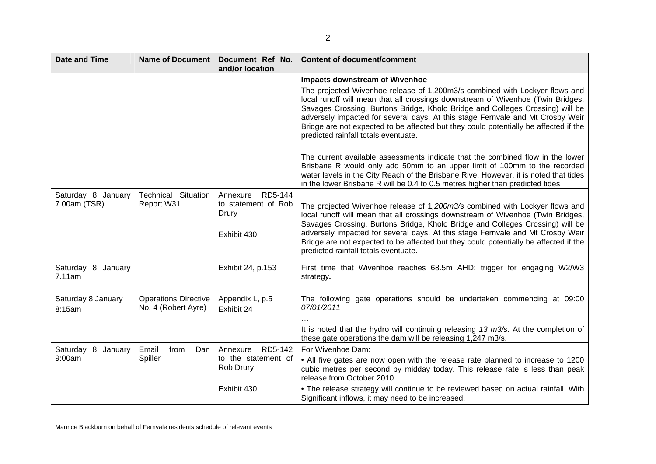| <b>Date and Time</b>               | <b>Name of Document</b>                            | Document Ref No.<br>and/or location                                | <b>Content of document/comment</b>                                                                                                                                                                                                                                                                                                                                                                                                                                |
|------------------------------------|----------------------------------------------------|--------------------------------------------------------------------|-------------------------------------------------------------------------------------------------------------------------------------------------------------------------------------------------------------------------------------------------------------------------------------------------------------------------------------------------------------------------------------------------------------------------------------------------------------------|
|                                    |                                                    |                                                                    | <b>Impacts downstream of Wivenhoe</b>                                                                                                                                                                                                                                                                                                                                                                                                                             |
|                                    |                                                    |                                                                    | The projected Wivenhoe release of 1,200m3/s combined with Lockyer flows and<br>local runoff will mean that all crossings downstream of Wivenhoe (Twin Bridges,<br>Savages Crossing, Burtons Bridge, Kholo Bridge and Colleges Crossing) will be<br>adversely impacted for several days. At this stage Fernvale and Mt Crosby Weir<br>Bridge are not expected to be affected but they could potentially be affected if the<br>predicted rainfall totals eventuate. |
|                                    |                                                    |                                                                    | The current available assessments indicate that the combined flow in the lower<br>Brisbane R would only add 50mm to an upper limit of 100mm to the recorded<br>water levels in the City Reach of the Brisbane Rive. However, it is noted that tides<br>in the lower Brisbane R will be 0.4 to 0.5 metres higher than predicted tides                                                                                                                              |
| Saturday 8 January<br>7.00am (TSR) | <b>Technical Situation</b><br>Report W31           | RD5-144<br>Annexure<br>to statement of Rob<br>Drury<br>Exhibit 430 | The projected Wivenhoe release of 1,200m3/s combined with Lockyer flows and<br>local runoff will mean that all crossings downstream of Wivenhoe (Twin Bridges,<br>Savages Crossing, Burtons Bridge, Kholo Bridge and Colleges Crossing) will be<br>adversely impacted for several days. At this stage Fernvale and Mt Crosby Weir<br>Bridge are not expected to be affected but they could potentially be affected if the<br>predicted rainfall totals eventuate. |
| Saturday 8 January<br>7.11am       |                                                    | Exhibit 24, p.153                                                  | First time that Wivenhoe reaches 68.5m AHD: trigger for engaging W2/W3<br>strategy.                                                                                                                                                                                                                                                                                                                                                                               |
| Saturday 8 January<br>8:15am       | <b>Operations Directive</b><br>No. 4 (Robert Ayre) | Appendix L, p.5<br>Exhibit 24                                      | The following gate operations should be undertaken commencing at 09:00<br>07/01/2011<br>It is noted that the hydro will continuing releasing $13 \text{ m3/s}$ . At the completion of<br>these gate operations the dam will be releasing 1,247 m3/s.                                                                                                                                                                                                              |
| Saturday 8 January                 | Email<br>from<br>Dan                               | Annexure RD5-142                                                   | For Wivenhoe Dam:                                                                                                                                                                                                                                                                                                                                                                                                                                                 |
| 9:00am                             | Spiller                                            | to the statement of<br>Rob Drury                                   | • All five gates are now open with the release rate planned to increase to 1200<br>cubic metres per second by midday today. This release rate is less than peak<br>release from October 2010.                                                                                                                                                                                                                                                                     |
|                                    |                                                    | Exhibit 430                                                        | • The release strategy will continue to be reviewed based on actual rainfall. With<br>Significant inflows, it may need to be increased.                                                                                                                                                                                                                                                                                                                           |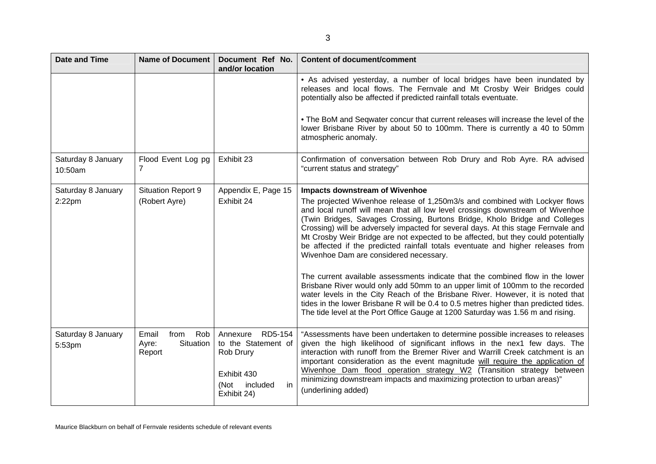| <b>Date and Time</b>          | <b>Name of Document</b>                              | Document Ref No.<br>and/or location                                                                             | <b>Content of document/comment</b>                                                                                                                                                                                                                                                                                                                                                                                                                                                                                                                                                                                                   |
|-------------------------------|------------------------------------------------------|-----------------------------------------------------------------------------------------------------------------|--------------------------------------------------------------------------------------------------------------------------------------------------------------------------------------------------------------------------------------------------------------------------------------------------------------------------------------------------------------------------------------------------------------------------------------------------------------------------------------------------------------------------------------------------------------------------------------------------------------------------------------|
|                               |                                                      |                                                                                                                 | • As advised yesterday, a number of local bridges have been inundated by<br>releases and local flows. The Fernvale and Mt Crosby Weir Bridges could<br>potentially also be affected if predicted rainfall totals eventuate.<br>• The BoM and Seqwater concur that current releases will increase the level of the<br>lower Brisbane River by about 50 to 100mm. There is currently a 40 to 50mm                                                                                                                                                                                                                                      |
|                               |                                                      |                                                                                                                 | atmospheric anomaly.                                                                                                                                                                                                                                                                                                                                                                                                                                                                                                                                                                                                                 |
| Saturday 8 January<br>10:50am | Flood Event Log pg<br>7                              | Exhibit 23                                                                                                      | Confirmation of conversation between Rob Drury and Rob Ayre. RA advised<br>"current status and strategy"                                                                                                                                                                                                                                                                                                                                                                                                                                                                                                                             |
| Saturday 8 January            | <b>Situation Report 9</b>                            | Appendix E, Page 15                                                                                             | <b>Impacts downstream of Wivenhoe</b>                                                                                                                                                                                                                                                                                                                                                                                                                                                                                                                                                                                                |
| $2:22$ pm                     | (Robert Ayre)                                        | Exhibit 24                                                                                                      | The projected Wivenhoe release of 1,250m3/s and combined with Lockyer flows<br>and local runoff will mean that all low level crossings downstream of Wivenhoe<br>(Twin Bridges, Savages Crossing, Burtons Bridge, Kholo Bridge and Colleges<br>Crossing) will be adversely impacted for several days. At this stage Fernvale and<br>Mt Crosby Weir Bridge are not expected to be affected, but they could potentially<br>be affected if the predicted rainfall totals eventuate and higher releases from<br>Wivenhoe Dam are considered necessary.<br>The current available assessments indicate that the combined flow in the lower |
|                               |                                                      |                                                                                                                 | Brisbane River would only add 50mm to an upper limit of 100mm to the recorded<br>water levels in the City Reach of the Brisbane River. However, it is noted that<br>tides in the lower Brisbane R will be 0.4 to 0.5 metres higher than predicted tides.<br>The tide level at the Port Office Gauge at 1200 Saturday was 1.56 m and rising.                                                                                                                                                                                                                                                                                          |
| Saturday 8 January<br>5:53pm  | Rob<br>from<br>Email<br>Situation<br>Ayre:<br>Report | RD5-154<br>Annexure<br>to the Statement of<br>Rob Drury<br>Exhibit 430<br>(Not<br>included<br>in<br>Exhibit 24) | "Assessments have been undertaken to determine possible increases to releases<br>given the high likelihood of significant inflows in the nex1 few days. The<br>interaction with runoff from the Bremer River and Warrill Creek catchment is an<br>important consideration as the event magnitude will require the application of<br>Wivenhoe Dam flood operation strategy W2 (Transition strategy between<br>minimizing downstream impacts and maximizing protection to urban areas)"<br>(underlining added)                                                                                                                         |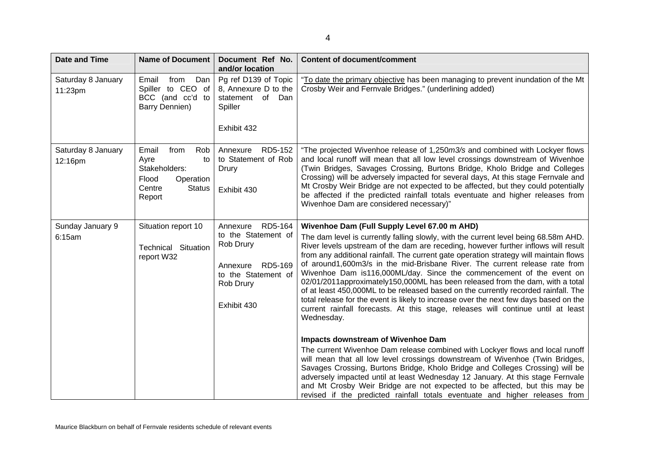| <b>Date and Time</b>          | <b>Name of Document</b>                                                                                        | Document Ref No.<br>and/or location                                                                                            | <b>Content of document/comment</b>                                                                                                                                                                                                                                                                                                                                                                                                                                                                                                                                                                                                                                                                                                                                                                                                                                                                                                                                                                                                                                                                                                                                                                                                                                                                                                                                                        |
|-------------------------------|----------------------------------------------------------------------------------------------------------------|--------------------------------------------------------------------------------------------------------------------------------|-------------------------------------------------------------------------------------------------------------------------------------------------------------------------------------------------------------------------------------------------------------------------------------------------------------------------------------------------------------------------------------------------------------------------------------------------------------------------------------------------------------------------------------------------------------------------------------------------------------------------------------------------------------------------------------------------------------------------------------------------------------------------------------------------------------------------------------------------------------------------------------------------------------------------------------------------------------------------------------------------------------------------------------------------------------------------------------------------------------------------------------------------------------------------------------------------------------------------------------------------------------------------------------------------------------------------------------------------------------------------------------------|
| Saturday 8 January<br>11:23pm | Email<br>from<br>Dan<br>Spiller to CEO of<br>BCC (and cc'd to<br>Barry Dennien)                                | Pg ref D139 of Topic<br>8, Annexure D to the<br>statement of Dan<br>Spiller<br>Exhibit 432                                     | "To date the primary objective has been managing to prevent inundation of the Mt<br>Crosby Weir and Fernvale Bridges." (underlining added)                                                                                                                                                                                                                                                                                                                                                                                                                                                                                                                                                                                                                                                                                                                                                                                                                                                                                                                                                                                                                                                                                                                                                                                                                                                |
| Saturday 8 January<br>12:16pm | from<br>Rob<br>Email<br>Ayre<br>to<br>Stakeholders:<br>Flood<br>Operation<br>Centre<br><b>Status</b><br>Report | Annexure RD5-152<br>to Statement of Rob<br>Drury<br>Exhibit 430                                                                | "The projected Wivenhoe release of 1,250m3/s and combined with Lockyer flows<br>and local runoff will mean that all low level crossings downstream of Wivenhoe<br>(Twin Bridges, Savages Crossing, Burtons Bridge, Kholo Bridge and Colleges<br>Crossing) will be adversely impacted for several days, At this stage Fernvale and<br>Mt Crosby Weir Bridge are not expected to be affected, but they could potentially<br>be affected if the predicted rainfall totals eventuate and higher releases from<br>Wivenhoe Dam are considered necessary)"                                                                                                                                                                                                                                                                                                                                                                                                                                                                                                                                                                                                                                                                                                                                                                                                                                      |
| Sunday January 9<br>6:15am    | Situation report 10<br><b>Technical Situation</b><br>report W32                                                | Annexure RD5-164<br>to the Statement of<br>Rob Drury<br>RD5-169<br>Annexure<br>to the Statement of<br>Rob Drury<br>Exhibit 430 | Wivenhoe Dam (Full Supply Level 67.00 m AHD)<br>The dam level is currently falling slowly, with the current level being 68.58m AHD.<br>River levels upstream of the dam are receding, however further inflows will result<br>from any additional rainfall. The current gate operation strategy will maintain flows<br>of around1,600m3/s in the mid-Brisbane River. The current release rate from<br>Wivenhoe Dam is116,000ML/day. Since the commencement of the event on<br>02/01/2011approximately150,000ML has been released from the dam, with a total<br>of at least 450,000ML to be released based on the currently recorded rainfall. The<br>total release for the event is likely to increase over the next few days based on the<br>current rainfall forecasts. At this stage, releases will continue until at least<br>Wednesday.<br><b>Impacts downstream of Wivenhoe Dam</b><br>The current Wivenhoe Dam release combined with Lockyer flows and local runoff<br>will mean that all low level crossings downstream of Wivenhoe (Twin Bridges,<br>Savages Crossing, Burtons Bridge, Kholo Bridge and Colleges Crossing) will be<br>adversely impacted until at least Wednesday 12 January. At this stage Fernvale<br>and Mt Crosby Weir Bridge are not expected to be affected, but this may be<br>revised if the predicted rainfall totals eventuate and higher releases from |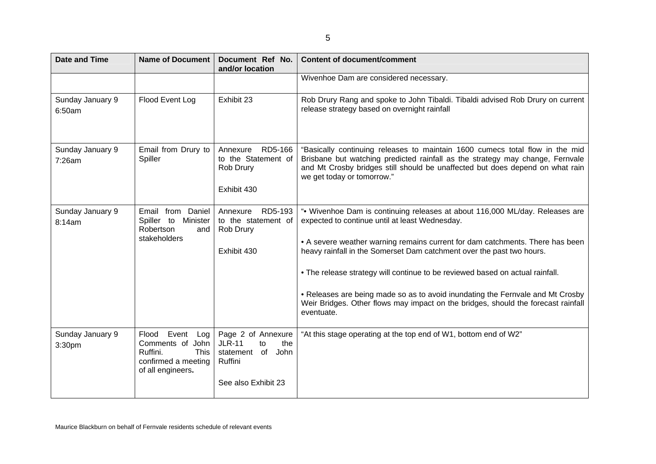| v<br>I |  |
|--------|--|
| I      |  |

| <b>Date and Time</b>       | <b>Name of Document</b>                                                                                                    | Document Ref No.<br>and/or location                                                                           | <b>Content of document/comment</b>                                                                                                                                                                                                                                                                                                                                                                                                                                                                                                                             |
|----------------------------|----------------------------------------------------------------------------------------------------------------------------|---------------------------------------------------------------------------------------------------------------|----------------------------------------------------------------------------------------------------------------------------------------------------------------------------------------------------------------------------------------------------------------------------------------------------------------------------------------------------------------------------------------------------------------------------------------------------------------------------------------------------------------------------------------------------------------|
|                            |                                                                                                                            |                                                                                                               | Wivenhoe Dam are considered necessary.                                                                                                                                                                                                                                                                                                                                                                                                                                                                                                                         |
| Sunday January 9<br>6:50am | Flood Event Log                                                                                                            | Exhibit 23                                                                                                    | Rob Drury Rang and spoke to John Tibaldi. Tibaldi advised Rob Drury on current<br>release strategy based on overnight rainfall                                                                                                                                                                                                                                                                                                                                                                                                                                 |
| Sunday January 9<br>7:26am | Email from Drury to<br>Spiller                                                                                             | RD5-166<br>Annexure<br>to the Statement of<br>Rob Drury<br>Exhibit 430                                        | "Basically continuing releases to maintain 1600 cumecs total flow in the mid<br>Brisbane but watching predicted rainfall as the strategy may change, Fernvale<br>and Mt Crosby bridges still should be unaffected but does depend on what rain<br>we get today or tomorrow."                                                                                                                                                                                                                                                                                   |
| Sunday January 9<br>8:14am | Email from Daniel<br>Spiller to<br>Minister<br>Robertson<br>and<br>stakeholders                                            | RD5-193<br>Annexure<br>to the statement of<br>Rob Drury<br>Exhibit 430                                        | ". Wivenhoe Dam is continuing releases at about 116,000 ML/day. Releases are<br>expected to continue until at least Wednesday.<br>• A severe weather warning remains current for dam catchments. There has been<br>heavy rainfall in the Somerset Dam catchment over the past two hours.<br>• The release strategy will continue to be reviewed based on actual rainfall.<br>• Releases are being made so as to avoid inundating the Fernvale and Mt Crosby<br>Weir Bridges. Other flows may impact on the bridges, should the forecast rainfall<br>eventuate. |
| Sunday January 9<br>3:30pm | Flood Event<br>Log <sub>1</sub><br>Comments of John<br>Ruffini.<br><b>This</b><br>confirmed a meeting<br>of all engineers. | Page 2 of Annexure<br><b>JLR-11</b><br>the<br>to<br>John<br>statement<br>of<br>Ruffini<br>See also Exhibit 23 | "At this stage operating at the top end of W1, bottom end of W2"                                                                                                                                                                                                                                                                                                                                                                                                                                                                                               |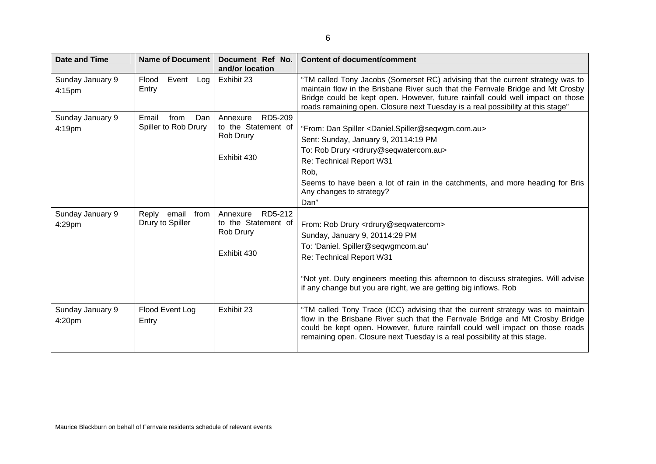| Λ,<br>۰, |  |
|----------|--|
|          |  |

| <b>Date and Time</b>       | <b>Name of Document</b>                      | Document Ref No.<br>and/or location                                    | <b>Content of document/comment</b>                                                                                                                                                                                                                                                                                                                        |
|----------------------------|----------------------------------------------|------------------------------------------------------------------------|-----------------------------------------------------------------------------------------------------------------------------------------------------------------------------------------------------------------------------------------------------------------------------------------------------------------------------------------------------------|
| Sunday January 9<br>4:15pm | Event<br>Flood<br>Log<br>Entry               | Exhibit 23                                                             | "TM called Tony Jacobs (Somerset RC) advising that the current strategy was to<br>maintain flow in the Brisbane River such that the Fernvale Bridge and Mt Crosby<br>Bridge could be kept open. However, future rainfall could well impact on those<br>roads remaining open. Closure next Tuesday is a real possibility at this stage"                    |
| Sunday January 9<br>4:19pm | Email<br>from<br>Dan<br>Spiller to Rob Drury | Annexure<br>RD5-209<br>to the Statement of<br>Rob Drury<br>Exhibit 430 | "From: Dan Spiller <daniel.spiller@seqwgm.com.au><br/>Sent: Sunday, January 9, 20114:19 PM<br/>To: Rob Drury <rdrury@seqwatercom.au><br/>Re: Technical Report W31<br/>Rob,<br/>Seems to have been a lot of rain in the catchments, and more heading for Bris<br/>Any changes to strategy?<br/>Dan"</rdrury@seqwatercom.au></daniel.spiller@seqwgm.com.au> |
| Sunday January 9<br>4:29pm | Reply<br>email<br>from<br>Drury to Spiller   | RD5-212<br>Annexure<br>to the Statement of<br>Rob Drury<br>Exhibit 430 | From: Rob Drury <rdrury@seqwatercom><br/>Sunday, January 9, 20114:29 PM<br/>To: 'Daniel. Spiller@seqwgmcom.au'<br/>Re: Technical Report W31<br/>"Not yet. Duty engineers meeting this afternoon to discuss strategies. Will advise<br/>if any change but you are right, we are getting big inflows. Rob</rdrury@seqwatercom>                              |
| Sunday January 9<br>4:20pm | Flood Event Log<br>Entry                     | Exhibit 23                                                             | "TM called Tony Trace (ICC) advising that the current strategy was to maintain<br>flow in the Brisbane River such that the Fernvale Bridge and Mt Crosby Bridge<br>could be kept open. However, future rainfall could well impact on those roads<br>remaining open. Closure next Tuesday is a real possibility at this stage.                             |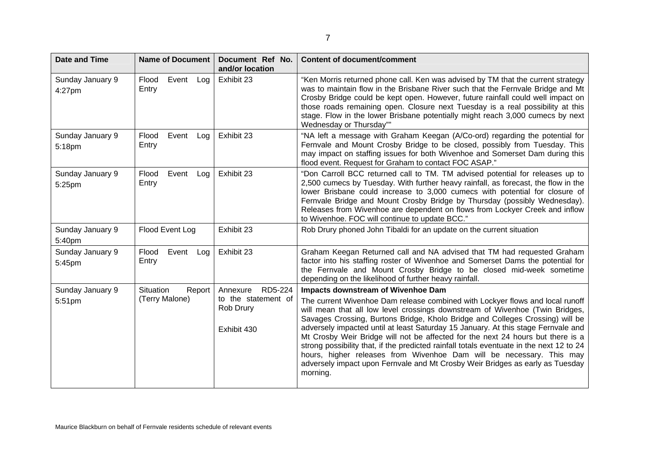| <b>Date and Time</b>       | Name of Document                            | Document Ref No.<br>and/or location                                    | <b>Content of document/comment</b>                                                                                                                                                                                                                                                                                                                                                                                                                                                                                                                                                                                                                                                                                            |
|----------------------------|---------------------------------------------|------------------------------------------------------------------------|-------------------------------------------------------------------------------------------------------------------------------------------------------------------------------------------------------------------------------------------------------------------------------------------------------------------------------------------------------------------------------------------------------------------------------------------------------------------------------------------------------------------------------------------------------------------------------------------------------------------------------------------------------------------------------------------------------------------------------|
| Sunday January 9<br>4:27pm | Event<br>Flood<br>Log<br>Entry              | Exhibit 23                                                             | "Ken Morris returned phone call. Ken was advised by TM that the current strategy<br>was to maintain flow in the Brisbane River such that the Fernvale Bridge and Mt<br>Crosby Bridge could be kept open. However, future rainfall could well impact on<br>those roads remaining open. Closure next Tuesday is a real possibility at this<br>stage. Flow in the lower Brisbane potentially might reach 3,000 cumecs by next<br>Wednesday or Thursday""                                                                                                                                                                                                                                                                         |
| Sunday January 9<br>5:18pm | Event<br>Flood<br>Log l<br>Entry            | Exhibit 23                                                             | "NA left a message with Graham Keegan (A/Co-ord) regarding the potential for<br>Fernvale and Mount Crosby Bridge to be closed, possibly from Tuesday. This<br>may impact on staffing issues for both Wivenhoe and Somerset Dam during this<br>flood event. Request for Graham to contact FOC ASAP."                                                                                                                                                                                                                                                                                                                                                                                                                           |
| Sunday January 9<br>5:25pm | Event<br>Flood<br>Log <sub>1</sub><br>Entry | Exhibit 23                                                             | "Don Carroll BCC returned call to TM. TM advised potential for releases up to<br>2,500 cumecs by Tuesday. With further heavy rainfall, as forecast, the flow in the<br>lower Brisbane could increase to 3,000 cumecs with potential for closure of<br>Fernvale Bridge and Mount Crosby Bridge by Thursday (possibly Wednesday).<br>Releases from Wivenhoe are dependent on flows from Lockyer Creek and inflow<br>to Wivenhoe. FOC will continue to update BCC."                                                                                                                                                                                                                                                              |
| Sunday January 9<br>5:40pm | Flood Event Log                             | Exhibit 23                                                             | Rob Drury phoned John Tibaldi for an update on the current situation                                                                                                                                                                                                                                                                                                                                                                                                                                                                                                                                                                                                                                                          |
| Sunday January 9<br>5:45pm | Event<br>Flood<br>Log<br>Entry              | Exhibit 23                                                             | Graham Keegan Returned call and NA advised that TM had requested Graham<br>factor into his staffing roster of Wivenhoe and Somerset Dams the potential for<br>the Fernvale and Mount Crosby Bridge to be closed mid-week sometime<br>depending on the likelihood of further heavy rainfall.                                                                                                                                                                                                                                                                                                                                                                                                                                   |
| Sunday January 9<br>5:51pm | Situation<br>Report<br>(Terry Malone)       | RD5-224<br>Annexure<br>to the statement of<br>Rob Drury<br>Exhibit 430 | Impacts downstream of Wivenhoe Dam<br>The current Wivenhoe Dam release combined with Lockyer flows and local runoff<br>will mean that all low level crossings downstream of Wivenhoe (Twin Bridges,<br>Savages Crossing, Burtons Bridge, Kholo Bridge and Colleges Crossing) will be<br>adversely impacted until at least Saturday 15 January. At this stage Fernvale and<br>Mt Crosby Weir Bridge will not be affected for the next 24 hours but there is a<br>strong possibility that, if the predicted rainfall totals eventuate in the next 12 to 24<br>hours, higher releases from Wivenhoe Dam will be necessary. This may<br>adversely impact upon Fernvale and Mt Crosby Weir Bridges as early as Tuesday<br>morning. |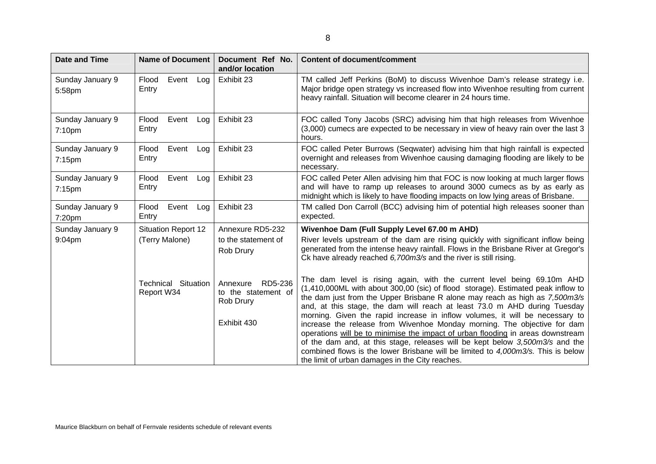| <b>Date and Time</b>          | <b>Name of Document</b>                  | Document Ref No.<br>and/or location                     | <b>Content of document/comment</b>                                                                                                                                                                                                                                                                                                                                                                     |
|-------------------------------|------------------------------------------|---------------------------------------------------------|--------------------------------------------------------------------------------------------------------------------------------------------------------------------------------------------------------------------------------------------------------------------------------------------------------------------------------------------------------------------------------------------------------|
| Sunday January 9<br>5:58pm    | Event<br>Flood<br>Log<br>Entry           | Exhibit 23                                              | TM called Jeff Perkins (BoM) to discuss Wivenhoe Dam's release strategy i.e.<br>Major bridge open strategy vs increased flow into Wivenhoe resulting from current<br>heavy rainfall. Situation will become clearer in 24 hours time.                                                                                                                                                                   |
| Sunday January 9<br>7:10pm    | Event<br>Flood<br>Log<br>Entry           | Exhibit 23                                              | FOC called Tony Jacobs (SRC) advising him that high releases from Wivenhoe<br>(3,000) cumecs are expected to be necessary in view of heavy rain over the last 3<br>hours.                                                                                                                                                                                                                              |
| Sunday January 9<br>$7:15$ pm | Event<br>Flood<br>Log<br>Entry           | Exhibit 23                                              | FOC called Peter Burrows (Seqwater) advising him that high rainfall is expected<br>overnight and releases from Wivenhoe causing damaging flooding are likely to be<br>necessary.                                                                                                                                                                                                                       |
| Sunday January 9<br>$7:15$ pm | Event<br>Flood<br>Log<br>Entry           | Exhibit 23                                              | FOC called Peter Allen advising him that FOC is now looking at much larger flows<br>and will have to ramp up releases to around 3000 cumecs as by as early as<br>midnight which is likely to have flooding impacts on low lying areas of Brisbane.                                                                                                                                                     |
| Sunday January 9<br>7:20pm    | Event<br>Flood<br>Log<br>Entry           | Exhibit 23                                              | TM called Don Carroll (BCC) advising him of potential high releases sooner than<br>expected.                                                                                                                                                                                                                                                                                                           |
| Sunday January 9              | <b>Situation Report 12</b>               | Annexure RD5-232                                        | Wivenhoe Dam (Full Supply Level 67.00 m AHD)                                                                                                                                                                                                                                                                                                                                                           |
| 9:04pm                        | (Terry Malone)                           | to the statement of<br>Rob Drury                        | River levels upstream of the dam are rising quickly with significant inflow being<br>generated from the intense heavy rainfall. Flows in the Brisbane River at Gregor's<br>Ck have already reached 6,700m3/s and the river is still rising.                                                                                                                                                            |
|                               | <b>Technical Situation</b><br>Report W34 | RD5-236<br>Annexure<br>to the statement of<br>Rob Drury | The dam level is rising again, with the current level being 69.10m AHD<br>(1,410,000ML with about 300,00 (sic) of flood storage). Estimated peak inflow to<br>the dam just from the Upper Brisbane R alone may reach as high as 7,500m3/s<br>and, at this stage, the dam will reach at least 73.0 m AHD during Tuesday<br>morning. Given the rapid increase in inflow volumes, it will be necessary to |
|                               |                                          | Exhibit 430                                             | increase the release from Wivenhoe Monday morning. The objective for dam<br>operations will be to minimise the impact of urban flooding in areas downstream<br>of the dam and, at this stage, releases will be kept below 3,500m3/s and the<br>combined flows is the lower Brisbane will be limited to 4,000m3/s. This is below<br>the limit of urban damages in the City reaches.                     |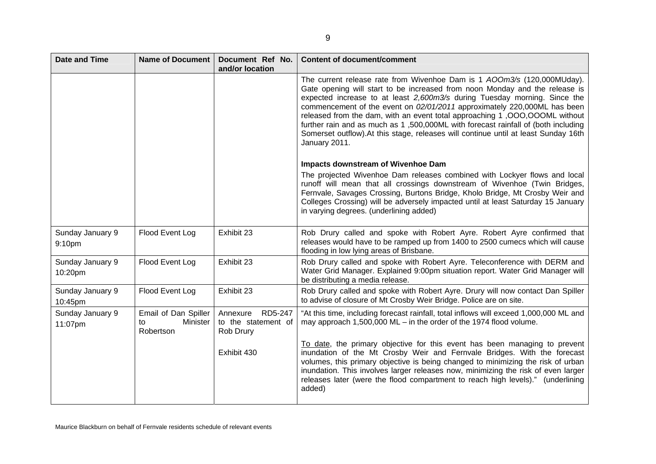| <b>Date and Time</b>        | <b>Name of Document</b>                             | Document Ref No.<br>and/or location                     | <b>Content of document/comment</b>                                                                                                                                                                                                                                                                                                                                                                                                                                                                                                                                                         |
|-----------------------------|-----------------------------------------------------|---------------------------------------------------------|--------------------------------------------------------------------------------------------------------------------------------------------------------------------------------------------------------------------------------------------------------------------------------------------------------------------------------------------------------------------------------------------------------------------------------------------------------------------------------------------------------------------------------------------------------------------------------------------|
|                             |                                                     |                                                         | The current release rate from Wivenhoe Dam is 1 AOOm3/s (120,000MUday).<br>Gate opening will start to be increased from noon Monday and the release is<br>expected increase to at least 2,600m3/s during Tuesday morning. Since the<br>commencement of the event on 02/01/2011 approximately 220,000ML has been<br>released from the dam, with an event total approaching 1,000,000ML without<br>further rain and as much as 1,500,000ML with forecast rainfall of (both including<br>Somerset outflow). At this stage, releases will continue until at least Sunday 16th<br>January 2011. |
|                             |                                                     |                                                         | Impacts downstream of Wivenhoe Dam<br>The projected Wivenhoe Dam releases combined with Lockyer flows and local<br>runoff will mean that all crossings downstream of Wivenhoe (Twin Bridges,<br>Fernvale, Savages Crossing, Burtons Bridge, Kholo Bridge, Mt Crosby Weir and<br>Colleges Crossing) will be adversely impacted until at least Saturday 15 January<br>in varying degrees. (underlining added)                                                                                                                                                                                |
| Sunday January 9<br>9:10pm  | Flood Event Log                                     | Exhibit 23                                              | Rob Drury called and spoke with Robert Ayre. Robert Ayre confirmed that<br>releases would have to be ramped up from 1400 to 2500 cumecs which will cause<br>flooding in low lying areas of Brisbane.                                                                                                                                                                                                                                                                                                                                                                                       |
| Sunday January 9<br>10:20pm | Flood Event Log                                     | Exhibit 23                                              | Rob Drury called and spoke with Robert Ayre. Teleconference with DERM and<br>Water Grid Manager. Explained 9:00pm situation report. Water Grid Manager will<br>be distributing a media release.                                                                                                                                                                                                                                                                                                                                                                                            |
| Sunday January 9<br>10:45pm | Flood Event Log                                     | Exhibit 23                                              | Rob Drury called and spoke with Robert Ayre. Drury will now contact Dan Spiller<br>to advise of closure of Mt Crosby Weir Bridge. Police are on site.                                                                                                                                                                                                                                                                                                                                                                                                                                      |
| Sunday January 9<br>11:07pm | Email of Dan Spiller<br>Minister<br>to<br>Robertson | RD5-247<br>Annexure<br>to the statement of<br>Rob Drury | "At this time, including forecast rainfall, total inflows will exceed 1,000,000 ML and<br>may approach $1,500,000$ ML – in the order of the 1974 flood volume.                                                                                                                                                                                                                                                                                                                                                                                                                             |
|                             |                                                     | Exhibit 430                                             | To date, the primary objective for this event has been managing to prevent<br>inundation of the Mt Crosby Weir and Fernvale Bridges. With the forecast<br>volumes, this primary objective is being changed to minimizing the risk of urban<br>inundation. This involves larger releases now, minimizing the risk of even larger<br>releases later (were the flood compartment to reach high levels)." (underlining<br>added)                                                                                                                                                               |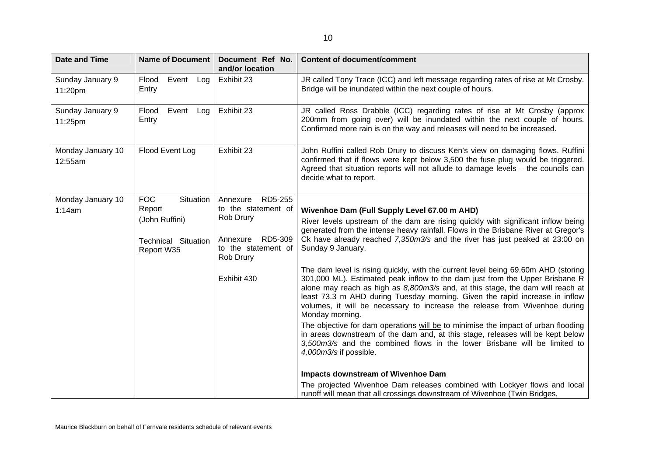| ٦<br>×. |  |
|---------|--|
|         |  |
|         |  |

| <b>Date and Time</b>         | Name of Document                                                                                | Document Ref No.<br>and/or location                                                                                               | <b>Content of document/comment</b>                                                                                                                                                                                                                                                                                                                                                                                                                                                                                                                                                                                                                                                                                                                                                                                                                                                                                                                                                                                                                                                                                                                                                                                                                      |
|------------------------------|-------------------------------------------------------------------------------------------------|-----------------------------------------------------------------------------------------------------------------------------------|---------------------------------------------------------------------------------------------------------------------------------------------------------------------------------------------------------------------------------------------------------------------------------------------------------------------------------------------------------------------------------------------------------------------------------------------------------------------------------------------------------------------------------------------------------------------------------------------------------------------------------------------------------------------------------------------------------------------------------------------------------------------------------------------------------------------------------------------------------------------------------------------------------------------------------------------------------------------------------------------------------------------------------------------------------------------------------------------------------------------------------------------------------------------------------------------------------------------------------------------------------|
| Sunday January 9<br>11:20pm  | Event<br>Flood<br>Log<br>Entry                                                                  | Exhibit 23                                                                                                                        | JR called Tony Trace (ICC) and left message regarding rates of rise at Mt Crosby.<br>Bridge will be inundated within the next couple of hours.                                                                                                                                                                                                                                                                                                                                                                                                                                                                                                                                                                                                                                                                                                                                                                                                                                                                                                                                                                                                                                                                                                          |
| Sunday January 9<br>11:25pm  | Flood<br>Event<br>Log<br>Entry                                                                  | Exhibit 23                                                                                                                        | JR called Ross Drabble (ICC) regarding rates of rise at Mt Crosby (approx<br>200mm from going over) will be inundated within the next couple of hours.<br>Confirmed more rain is on the way and releases will need to be increased.                                                                                                                                                                                                                                                                                                                                                                                                                                                                                                                                                                                                                                                                                                                                                                                                                                                                                                                                                                                                                     |
| Monday January 10<br>12:55am | Flood Event Log                                                                                 | Exhibit 23                                                                                                                        | John Ruffini called Rob Drury to discuss Ken's view on damaging flows. Ruffini<br>confirmed that if flows were kept below 3,500 the fuse plug would be triggered.<br>Agreed that situation reports will not allude to damage levels - the councils can<br>decide what to report.                                                                                                                                                                                                                                                                                                                                                                                                                                                                                                                                                                                                                                                                                                                                                                                                                                                                                                                                                                        |
| Monday January 10<br>1:14am  | <b>FOC</b><br>Situation<br>Report<br>(John Ruffini)<br><b>Technical Situation</b><br>Report W35 | RD5-255<br>Annexure<br>to the statement of<br>Rob Drury<br>RD5-309<br>Annexure<br>to the statement of<br>Rob Drury<br>Exhibit 430 | Wivenhoe Dam (Full Supply Level 67.00 m AHD)<br>River levels upstream of the dam are rising quickly with significant inflow being<br>generated from the intense heavy rainfall. Flows in the Brisbane River at Gregor's<br>Ck have already reached 7,350m3/s and the river has just peaked at 23:00 on<br>Sunday 9 January.<br>The dam level is rising quickly, with the current level being 69.60m AHD (storing<br>301,000 ML). Estimated peak inflow to the dam just from the Upper Brisbane R<br>alone may reach as high as 8,800m3/s and, at this stage, the dam will reach at<br>least 73.3 m AHD during Tuesday morning. Given the rapid increase in inflow<br>volumes, it will be necessary to increase the release from Wivenhoe during<br>Monday morning.<br>The objective for dam operations will be to minimise the impact of urban flooding<br>in areas downstream of the dam and, at this stage, releases will be kept below<br>3,500m3/s and the combined flows in the lower Brisbane will be limited to<br>4,000m3/s if possible.<br><b>Impacts downstream of Wivenhoe Dam</b><br>The projected Wivenhoe Dam releases combined with Lockyer flows and local<br>runoff will mean that all crossings downstream of Wivenhoe (Twin Bridges, |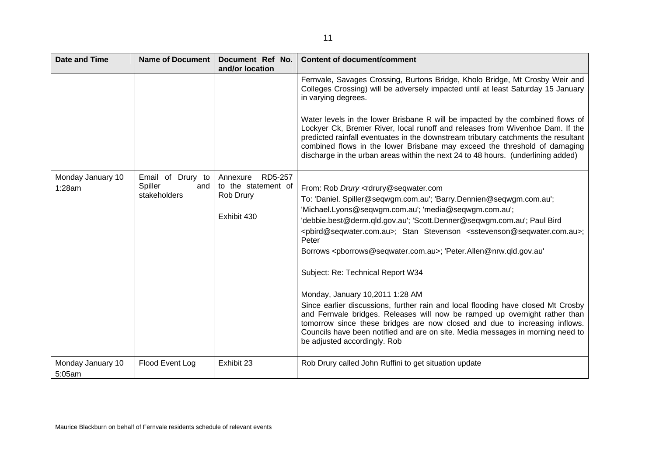| <b>Date and Time</b>        | <b>Name of Document</b>                             | Document Ref No.<br>and/or location                                    | <b>Content of document/comment</b>                                                                                                                                                                                                                                                                                                                                                                                                                                                                                                                                                                                                                                                                                                                                                                                                                                                                                                                                     |
|-----------------------------|-----------------------------------------------------|------------------------------------------------------------------------|------------------------------------------------------------------------------------------------------------------------------------------------------------------------------------------------------------------------------------------------------------------------------------------------------------------------------------------------------------------------------------------------------------------------------------------------------------------------------------------------------------------------------------------------------------------------------------------------------------------------------------------------------------------------------------------------------------------------------------------------------------------------------------------------------------------------------------------------------------------------------------------------------------------------------------------------------------------------|
|                             |                                                     |                                                                        | Fernvale, Savages Crossing, Burtons Bridge, Kholo Bridge, Mt Crosby Weir and<br>Colleges Crossing) will be adversely impacted until at least Saturday 15 January<br>in varying degrees.                                                                                                                                                                                                                                                                                                                                                                                                                                                                                                                                                                                                                                                                                                                                                                                |
|                             |                                                     |                                                                        | Water levels in the lower Brisbane R will be impacted by the combined flows of<br>Lockyer Ck, Bremer River, local runoff and releases from Wivenhoe Dam. If the<br>predicted rainfall eventuates in the downstream tributary catchments the resultant<br>combined flows in the lower Brisbane may exceed the threshold of damaging<br>discharge in the urban areas within the next 24 to 48 hours. (underlining added)                                                                                                                                                                                                                                                                                                                                                                                                                                                                                                                                                 |
| Monday January 10<br>1:28am | Email of Drury to<br>Spiller<br>and<br>stakeholders | RD5-257<br>Annexure<br>to the statement of<br>Rob Drury<br>Exhibit 430 | From: Rob Drury <rdrury@seqwater.com<br>To: 'Daniel. Spiller@seqwgm.com.au'; 'Barry.Dennien@seqwgm.com.au';<br/>'Michael.Lyons@seqwgm.com.au'; 'media@seqwgm.com.au';<br/>'debbie.best@derm.qld.gov.au'; 'Scott.Denner@seqwgm.com.au'; Paul Bird<br/><pbird@seqwater.com.au>;    Stan Stevenson <sstevenson@seqwater.com.au>;<br/>Peter<br/>Borrows <pborrows@seqwater.com.au>; 'Peter.Allen@nrw.qld.gov.au'<br/>Subject: Re: Technical Report W34<br/>Monday, January 10,2011 1:28 AM<br/>Since earlier discussions, further rain and local flooding have closed Mt Crosby<br/>and Fernvale bridges. Releases will now be ramped up overnight rather than<br/>tomorrow since these bridges are now closed and due to increasing inflows.<br/>Councils have been notified and are on site. Media messages in morning need to<br/>be adjusted accordingly. Rob</pborrows@seqwater.com.au></sstevenson@seqwater.com.au></pbird@seqwater.com.au></rdrury@seqwater.com<br> |
| Monday January 10<br>5:05am | Flood Event Log                                     | Exhibit 23                                                             | Rob Drury called John Ruffini to get situation update                                                                                                                                                                                                                                                                                                                                                                                                                                                                                                                                                                                                                                                                                                                                                                                                                                                                                                                  |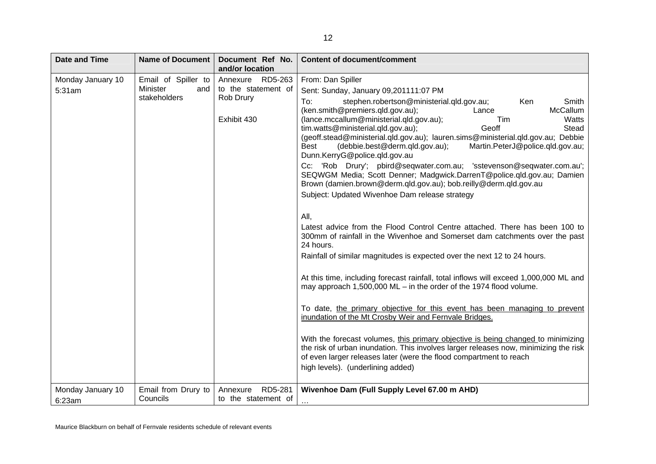| <b>Date and Time</b>        | <b>Name of Document</b>                                | Document Ref No.<br>and/or location                                 | <b>Content of document/comment</b>                                                                                                                                                                                                                                                                                                                                                                                                                                                                                                                                                                                                                                                                                                                                                                                                                                                                                                                                                                                                                                                                                                                                                                                                                                                                                                                                                                                                                                                                                                                                                                                                                     |
|-----------------------------|--------------------------------------------------------|---------------------------------------------------------------------|--------------------------------------------------------------------------------------------------------------------------------------------------------------------------------------------------------------------------------------------------------------------------------------------------------------------------------------------------------------------------------------------------------------------------------------------------------------------------------------------------------------------------------------------------------------------------------------------------------------------------------------------------------------------------------------------------------------------------------------------------------------------------------------------------------------------------------------------------------------------------------------------------------------------------------------------------------------------------------------------------------------------------------------------------------------------------------------------------------------------------------------------------------------------------------------------------------------------------------------------------------------------------------------------------------------------------------------------------------------------------------------------------------------------------------------------------------------------------------------------------------------------------------------------------------------------------------------------------------------------------------------------------------|
| Monday January 10<br>5:31am | Email of Spiller to<br>Minister<br>and<br>stakeholders | Annexure RD5-263<br>to the statement of<br>Rob Drury<br>Exhibit 430 | From: Dan Spiller<br>Sent: Sunday, January 09,201111:07 PM<br>stephen.robertson@ministerial.qld.gov.au;<br>To:<br>Ken<br>Smith<br>(ken.smith@premiers.qld.gov.au);<br>McCallum<br>Lance<br>(lance.mccallum@ministerial.qld.gov.au);<br>Watts<br>Tim<br>tim.watts@ministerial.qld.gov.au);<br>Stead<br>Geoff<br>(geoff.stead@ministerial.qld.gov.au); lauren.sims@ministerial.qld.gov.au; Debbie<br>(debbie.best@derm.qld.gov.au);<br>Martin.PeterJ@police.qld.gov.au;<br>Best<br>Dunn.KerryG@police.qld.gov.au<br>Cc: 'Rob Drury'; pbird@seqwater.com.au; 'sstevenson@seqwater.com.au';<br>SEQWGM Media; Scott Denner; Madgwick.DarrenT@police.qld.gov.au; Damien<br>Brown (damien.brown@derm.qld.gov.au); bob.reilly@derm.qld.gov.au<br>Subject: Updated Wivenhoe Dam release strategy<br>All,<br>Latest advice from the Flood Control Centre attached. There has been 100 to<br>300mm of rainfall in the Wivenhoe and Somerset dam catchments over the past<br>24 hours.<br>Rainfall of similar magnitudes is expected over the next 12 to 24 hours.<br>At this time, including forecast rainfall, total inflows will exceed 1,000,000 ML and<br>may approach 1,500,000 ML $-$ in the order of the 1974 flood volume.<br>To date, the primary objective for this event has been managing to prevent<br>inundation of the Mt Crosby Weir and Fernvale Bridges.<br>With the forecast volumes, this primary objective is being changed to minimizing<br>the risk of urban inundation. This involves larger releases now, minimizing the risk<br>of even larger releases later (were the flood compartment to reach<br>high levels). (underlining added) |
| Monday January 10<br>6:23am | Email from Drury to<br>Councils                        | RD5-281<br>Annexure<br>to the statement of                          | Wivenhoe Dam (Full Supply Level 67.00 m AHD)<br>$\cdots$                                                                                                                                                                                                                                                                                                                                                                                                                                                                                                                                                                                                                                                                                                                                                                                                                                                                                                                                                                                                                                                                                                                                                                                                                                                                                                                                                                                                                                                                                                                                                                                               |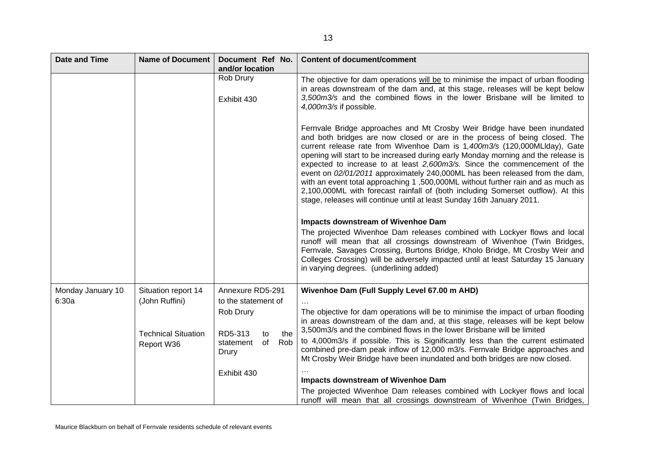| <b>Date and Time</b>       | <b>Name of Document</b>                  | Document Ref No.<br>and/or location                     | <b>Content of document/comment</b>                                                                                                                                                                                                                                                                                                                                                                                                                                                                                                                                                                                                                                                                                                                                                                                                                                                                                                                                                                                                                                                                                                                          |
|----------------------------|------------------------------------------|---------------------------------------------------------|-------------------------------------------------------------------------------------------------------------------------------------------------------------------------------------------------------------------------------------------------------------------------------------------------------------------------------------------------------------------------------------------------------------------------------------------------------------------------------------------------------------------------------------------------------------------------------------------------------------------------------------------------------------------------------------------------------------------------------------------------------------------------------------------------------------------------------------------------------------------------------------------------------------------------------------------------------------------------------------------------------------------------------------------------------------------------------------------------------------------------------------------------------------|
|                            |                                          | Rob Drury<br>Exhibit 430                                | The objective for dam operations will be to minimise the impact of urban flooding<br>in areas downstream of the dam and, at this stage, releases will be kept below<br>3,500m3/s and the combined flows in the lower Brisbane will be limited to<br>4,000m3/s if possible.                                                                                                                                                                                                                                                                                                                                                                                                                                                                                                                                                                                                                                                                                                                                                                                                                                                                                  |
|                            |                                          |                                                         | Fernvale Bridge approaches and Mt Crosby Weir Bridge have been inundated<br>and both bridges are now closed or are in the process of being closed. The<br>current release rate from Wivenhoe Dam is 1,400m3/s (120,000MLIday), Gate<br>opening will start to be increased during early Monday morning and the release is<br>expected to increase to at least 2,600m3/s. Since the commencement of the<br>event on 02/01/2011 approximately 240,000ML has been released from the dam,<br>with an event total approaching 1,500,000ML without further rain and as much as<br>2,100,000ML with forecast rainfall of (both including Somerset outflow). At this<br>stage, releases will continue until at least Sunday 16th January 2011.<br><b>Impacts downstream of Wivenhoe Dam</b><br>The projected Wivenhoe Dam releases combined with Lockyer flows and local<br>runoff will mean that all crossings downstream of Wivenhoe (Twin Bridges,<br>Fernvale, Savages Crossing, Burtons Bridge, Kholo Bridge, Mt Crosby Weir and<br>Colleges Crossing) will be adversely impacted until at least Saturday 15 January<br>in varying degrees. (underlining added) |
|                            |                                          |                                                         |                                                                                                                                                                                                                                                                                                                                                                                                                                                                                                                                                                                                                                                                                                                                                                                                                                                                                                                                                                                                                                                                                                                                                             |
| Monday January 10<br>6:30a | Situation report 14<br>(John Ruffini)    | Annexure RD5-291<br>to the statement of                 | Wivenhoe Dam (Full Supply Level 67.00 m AHD)                                                                                                                                                                                                                                                                                                                                                                                                                                                                                                                                                                                                                                                                                                                                                                                                                                                                                                                                                                                                                                                                                                                |
|                            |                                          | Rob Drury                                               | The objective for dam operations will be to minimise the impact of urban flooding<br>in areas downstream of the dam and, at this stage, releases will be kept below<br>3,500m3/s and the combined flows in the lower Brisbane will be limited                                                                                                                                                                                                                                                                                                                                                                                                                                                                                                                                                                                                                                                                                                                                                                                                                                                                                                               |
|                            | <b>Technical Situation</b><br>Report W36 | RD5-313<br>the<br>to<br>of<br>Rob<br>statement<br>Drury | to 4,000m3/s if possible. This is Significantly less than the current estimated<br>combined pre-dam peak inflow of 12,000 m3/s. Fernvale Bridge approaches and<br>Mt Crosby Weir Bridge have been inundated and both bridges are now closed.                                                                                                                                                                                                                                                                                                                                                                                                                                                                                                                                                                                                                                                                                                                                                                                                                                                                                                                |
|                            |                                          | Exhibit 430                                             |                                                                                                                                                                                                                                                                                                                                                                                                                                                                                                                                                                                                                                                                                                                                                                                                                                                                                                                                                                                                                                                                                                                                                             |
|                            |                                          |                                                         | Impacts downstream of Wivenhoe Dam                                                                                                                                                                                                                                                                                                                                                                                                                                                                                                                                                                                                                                                                                                                                                                                                                                                                                                                                                                                                                                                                                                                          |
|                            |                                          |                                                         | The projected Wivenhoe Dam releases combined with Lockyer flows and local<br>runoff will mean that all crossings downstream of Wivenhoe (Twin Bridges,                                                                                                                                                                                                                                                                                                                                                                                                                                                                                                                                                                                                                                                                                                                                                                                                                                                                                                                                                                                                      |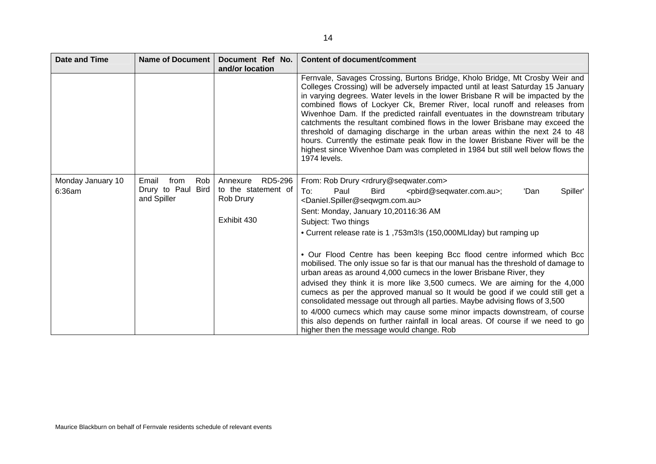| <b>Date and Time</b> | <b>Name of Document</b>           | Document Ref No.<br>and/or location | <b>Content of document/comment</b>                                                                                                                                                                                                                                                                                                                                                                                                                                                                                                                                                                                                                                                                                                                                        |
|----------------------|-----------------------------------|-------------------------------------|---------------------------------------------------------------------------------------------------------------------------------------------------------------------------------------------------------------------------------------------------------------------------------------------------------------------------------------------------------------------------------------------------------------------------------------------------------------------------------------------------------------------------------------------------------------------------------------------------------------------------------------------------------------------------------------------------------------------------------------------------------------------------|
|                      |                                   |                                     | Fernvale, Savages Crossing, Burtons Bridge, Kholo Bridge, Mt Crosby Weir and<br>Colleges Crossing) will be adversely impacted until at least Saturday 15 January<br>in varying degrees. Water levels in the lower Brisbane R will be impacted by the<br>combined flows of Lockyer Ck, Bremer River, local runoff and releases from<br>Wivenhoe Dam. If the predicted rainfall eventuates in the downstream tributary<br>catchments the resultant combined flows in the lower Brisbane may exceed the<br>threshold of damaging discharge in the urban areas within the next 24 to 48<br>hours. Currently the estimate peak flow in the lower Brisbane River will be the<br>highest since Wivenhoe Dam was completed in 1984 but still well below flows the<br>1974 levels. |
| Monday January 10    | Email<br>Rob<br>from              | RD5-296<br>Annexure                 | From: Rob Drury <rdrury@seqwater.com></rdrury@seqwater.com>                                                                                                                                                                                                                                                                                                                                                                                                                                                                                                                                                                                                                                                                                                               |
| 6:36am               | Drury to Paul Bird<br>and Spiller | to the statement of<br>Rob Drury    | To:<br>Spiller'<br>Paul<br><b>Bird</b><br><pbird@seqwater.com.au>;<br/>'Dan<br/><daniel.spiller@seqwgm.com.au></daniel.spiller@seqwgm.com.au></pbird@seqwater.com.au>                                                                                                                                                                                                                                                                                                                                                                                                                                                                                                                                                                                                     |
|                      |                                   |                                     | Sent: Monday, January 10,20116:36 AM                                                                                                                                                                                                                                                                                                                                                                                                                                                                                                                                                                                                                                                                                                                                      |
|                      |                                   | Exhibit 430                         | Subject: Two things                                                                                                                                                                                                                                                                                                                                                                                                                                                                                                                                                                                                                                                                                                                                                       |
|                      |                                   |                                     | • Current release rate is 1,753m3!s (150,000MLIday) but ramping up                                                                                                                                                                                                                                                                                                                                                                                                                                                                                                                                                                                                                                                                                                        |
|                      |                                   |                                     | . Our Flood Centre has been keeping Bcc flood centre informed which Bcc<br>mobilised. The only issue so far is that our manual has the threshold of damage to<br>urban areas as around 4,000 cumecs in the lower Brisbane River, they                                                                                                                                                                                                                                                                                                                                                                                                                                                                                                                                     |
|                      |                                   |                                     | advised they think it is more like 3,500 cumecs. We are aiming for the 4,000<br>cumecs as per the approved manual so It would be good if we could still get a<br>consolidated message out through all parties. Maybe advising flows of 3,500                                                                                                                                                                                                                                                                                                                                                                                                                                                                                                                              |
|                      |                                   |                                     | to 4/000 cumecs which may cause some minor impacts downstream, of course<br>this also depends on further rainfall in local areas. Of course if we need to go<br>higher then the message would change. Rob                                                                                                                                                                                                                                                                                                                                                                                                                                                                                                                                                                 |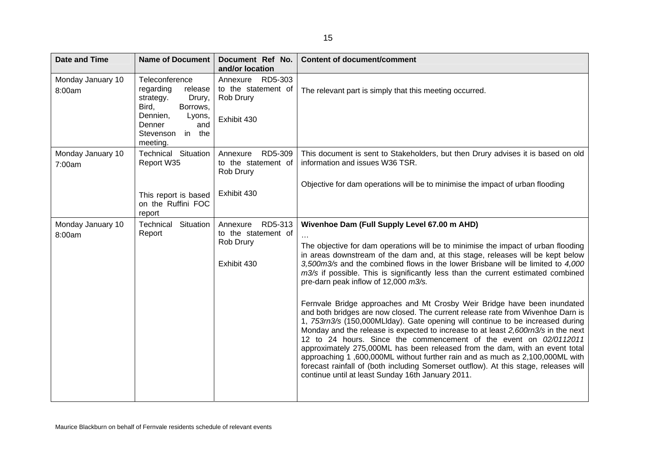| <b>Date and Time</b>        | Name of Document                                                                                                                                             | Document Ref No.<br>and/or location                                 | <b>Content of document/comment</b>                                                                                                                                                                                                                                                                                                                                                                                                                                                                                                                                                                                                                                                                                                                                                                                                                                                                                                                                                                                                                                                                                                                        |
|-----------------------------|--------------------------------------------------------------------------------------------------------------------------------------------------------------|---------------------------------------------------------------------|-----------------------------------------------------------------------------------------------------------------------------------------------------------------------------------------------------------------------------------------------------------------------------------------------------------------------------------------------------------------------------------------------------------------------------------------------------------------------------------------------------------------------------------------------------------------------------------------------------------------------------------------------------------------------------------------------------------------------------------------------------------------------------------------------------------------------------------------------------------------------------------------------------------------------------------------------------------------------------------------------------------------------------------------------------------------------------------------------------------------------------------------------------------|
| Monday January 10<br>8:00am | Teleconference<br>regarding<br>release<br>strategy.<br>Drury,<br>Bird,<br>Borrows,<br>Dennien,<br>Lyons,<br>Denner<br>and<br>in the<br>Stevenson<br>meeting. | Annexure RD5-303<br>to the statement of<br>Rob Drury<br>Exhibit 430 | The relevant part is simply that this meeting occurred.                                                                                                                                                                                                                                                                                                                                                                                                                                                                                                                                                                                                                                                                                                                                                                                                                                                                                                                                                                                                                                                                                                   |
| Monday January 10<br>7:00am | Technical Situation<br>Report W35                                                                                                                            | RD5-309<br>Annexure<br>to the statement of<br>Rob Drury             | This document is sent to Stakeholders, but then Drury advises it is based on old<br>information and issues W36 TSR.                                                                                                                                                                                                                                                                                                                                                                                                                                                                                                                                                                                                                                                                                                                                                                                                                                                                                                                                                                                                                                       |
|                             | This report is based<br>on the Ruffini FOC<br>report                                                                                                         | Exhibit 430                                                         | Objective for dam operations will be to minimise the impact of urban flooding                                                                                                                                                                                                                                                                                                                                                                                                                                                                                                                                                                                                                                                                                                                                                                                                                                                                                                                                                                                                                                                                             |
| Monday January 10<br>8:00am | Technical Situation<br>Report                                                                                                                                | Annexure RD5-313<br>to the statement of<br>Rob Drury<br>Exhibit 430 | Wivenhoe Dam (Full Supply Level 67.00 m AHD)<br>The objective for dam operations will be to minimise the impact of urban flooding<br>in areas downstream of the dam and, at this stage, releases will be kept below<br>3,500m3/s and the combined flows in the lower Brisbane will be limited to 4,000<br>m3/s if possible. This is significantly less than the current estimated combined<br>pre-darn peak inflow of 12,000 m3/s.<br>Fernvale Bridge approaches and Mt Crosby Weir Bridge have been inundated<br>and both bridges are now closed. The current release rate from Wivenhoe Darn is<br>1, 753rn3/s (150,000MLIday). Gate opening will continue to be increased during<br>Monday and the release is expected to increase to at least 2,600rn3/s in the next<br>12 to 24 hours. Since the commencement of the event on 02/0112011<br>approximately 275,000ML has been released from the dam, with an event total<br>approaching 1,600,000ML without further rain and as much as 2,100,000ML with<br>forecast rainfall of (both including Somerset outflow). At this stage, releases will<br>continue until at least Sunday 16th January 2011. |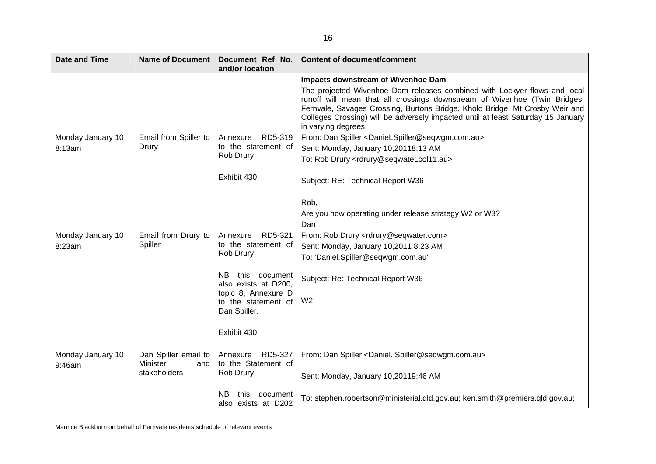| <b>Date and Time</b>        | <b>Name of Document</b>                 | Document Ref No.<br>and/or location             | <b>Content of document/comment</b>                                                                                                                                                                                                                                                                                                                |
|-----------------------------|-----------------------------------------|-------------------------------------------------|---------------------------------------------------------------------------------------------------------------------------------------------------------------------------------------------------------------------------------------------------------------------------------------------------------------------------------------------------|
|                             |                                         |                                                 | Impacts downstream of Wivenhoe Dam                                                                                                                                                                                                                                                                                                                |
|                             |                                         |                                                 | The projected Wivenhoe Dam releases combined with Lockyer flows and local<br>runoff will mean that all crossings downstream of Wivenhoe (Twin Bridges,<br>Fernvale, Savages Crossing, Burtons Bridge, Kholo Bridge, Mt Crosby Weir and<br>Colleges Crossing) will be adversely impacted until at least Saturday 15 January<br>in varying degrees. |
| Monday January 10           | Email from Spiller to                   | RD5-319<br>Annexure                             | From: Dan Spiller <danielspiller@seqwgm.com.au></danielspiller@seqwgm.com.au>                                                                                                                                                                                                                                                                     |
| 8:13am                      | Drury                                   | to the statement of<br>Rob Drury                | Sent: Monday, January 10,20118:13 AM                                                                                                                                                                                                                                                                                                              |
|                             |                                         |                                                 | To: Rob Drury <rdrury@seqwatelcol11.au></rdrury@seqwatelcol11.au>                                                                                                                                                                                                                                                                                 |
|                             |                                         | Exhibit 430                                     | Subject: RE: Technical Report W36                                                                                                                                                                                                                                                                                                                 |
|                             |                                         |                                                 | Rob,                                                                                                                                                                                                                                                                                                                                              |
|                             |                                         |                                                 | Are you now operating under release strategy W2 or W3?                                                                                                                                                                                                                                                                                            |
|                             |                                         |                                                 | Dan                                                                                                                                                                                                                                                                                                                                               |
| Monday January 10           | Email from Drury to                     | RD5-321<br>Annexure                             | From: Rob Drury <rdrury@seqwater.com></rdrury@seqwater.com>                                                                                                                                                                                                                                                                                       |
| Spiller<br>8:23am           | to the statement of                     | Sent: Monday, January 10,2011 8:23 AM           |                                                                                                                                                                                                                                                                                                                                                   |
|                             |                                         | Rob Drury.                                      | To: 'Daniel.Spiller@seqwgm.com.au'                                                                                                                                                                                                                                                                                                                |
|                             |                                         | NB.<br>this<br>document<br>also exists at D200, | Subject: Re: Technical Report W36                                                                                                                                                                                                                                                                                                                 |
|                             |                                         | topic 8, Annexure D<br>to the statement of      | W <sub>2</sub>                                                                                                                                                                                                                                                                                                                                    |
|                             |                                         | Dan Spiller.                                    |                                                                                                                                                                                                                                                                                                                                                   |
|                             |                                         |                                                 |                                                                                                                                                                                                                                                                                                                                                   |
|                             |                                         | Exhibit 430                                     |                                                                                                                                                                                                                                                                                                                                                   |
| Monday January 10<br>9:46am | Dan Spiller email to<br>Minister<br>and | RD5-327<br>Annexure<br>to the Statement of      | From: Dan Spiller <daniel. spiller@seqwgm.com.au=""></daniel.>                                                                                                                                                                                                                                                                                    |
|                             | stakeholders                            | Rob Drury                                       | Sent: Monday, January 10,20119:46 AM                                                                                                                                                                                                                                                                                                              |
|                             |                                         | NВ<br>document<br>this<br>also exists at D202   | To: stephen.robertson@ministerial.qld.gov.au; ken.smith@premiers.qld.gov.au;                                                                                                                                                                                                                                                                      |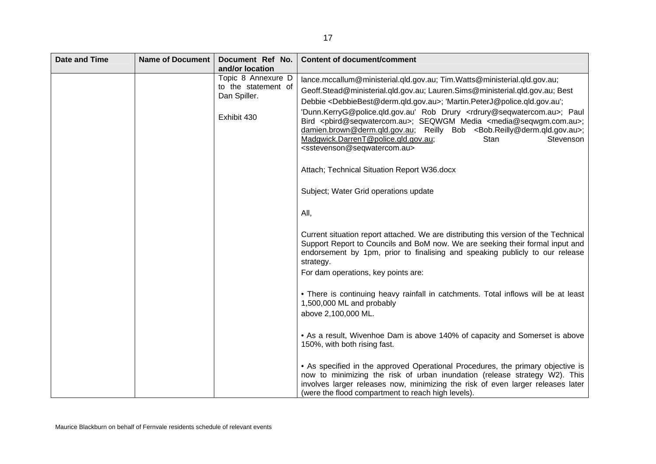| <b>Date and Time</b> | <b>Name of Document</b> | Document Ref No.<br>and/or location                                      | <b>Content of document/comment</b>                                                                                                                                                                                                                                                                                                                                                                                                                                                                                                                                                                                                                                                                                                                                                                                                                                                                                                                                                                                                                                                                                                                                                                                                                                                                                                                                                                                  |
|----------------------|-------------------------|--------------------------------------------------------------------------|---------------------------------------------------------------------------------------------------------------------------------------------------------------------------------------------------------------------------------------------------------------------------------------------------------------------------------------------------------------------------------------------------------------------------------------------------------------------------------------------------------------------------------------------------------------------------------------------------------------------------------------------------------------------------------------------------------------------------------------------------------------------------------------------------------------------------------------------------------------------------------------------------------------------------------------------------------------------------------------------------------------------------------------------------------------------------------------------------------------------------------------------------------------------------------------------------------------------------------------------------------------------------------------------------------------------------------------------------------------------------------------------------------------------|
|                      |                         | Topic 8 Annexure D<br>to the statement of<br>Dan Spiller.<br>Exhibit 430 | lance.mccallum@ministerial.qld.gov.au; Tim.Watts@ministerial.qld.gov.au;<br>Geoff.Stead@ministerial.qld.gov.au; Lauren.Sims@ministerial.qld.gov.au; Best<br>Debbie <debbiebest@derm.qld.gov.au>; 'Martin.PeterJ@police.qld.gov.au';<br/>'Dunn.KerryG@police.qld.gov.au' Rob Drury <rdrury@seqwatercom.au>; Paul<br/>Bird <pbird@seqwatercom.au>; SEQWGM Media <media@seqwgm.com.au>;<br/>damien.brown@derm.qld.gov.au; Reilly Bob <bob.reilly@derm.qld.gov.au>;<br/>Madgwick.DarrenT@police.qld.gov.au;<br/><b>Stan</b><br/>Stevenson<br/><sstevenson@seqwatercom.au><br/>Attach; Technical Situation Report W36.docx<br/>Subject; Water Grid operations update<br/>All,<br/>Current situation report attached. We are distributing this version of the Technical<br/>Support Report to Councils and BoM now. We are seeking their formal input and<br/>endorsement by 1pm, prior to finalising and speaking publicly to our release<br/>strategy.<br/>For dam operations, key points are:<br/>• There is continuing heavy rainfall in catchments. Total inflows will be at least<br/>1,500,000 ML and probably<br/>above 2,100,000 ML.<br/>• As a result, Wivenhoe Dam is above 140% of capacity and Somerset is above<br/>150%, with both rising fast.</sstevenson@seqwatercom.au></bob.reilly@derm.qld.gov.au></media@seqwgm.com.au></pbird@seqwatercom.au></rdrury@seqwatercom.au></debbiebest@derm.qld.gov.au> |
|                      |                         |                                                                          | • As specified in the approved Operational Procedures, the primary objective is<br>now to minimizing the risk of urban inundation (release strategy W2). This<br>involves larger releases now, minimizing the risk of even larger releases later<br>(were the flood compartment to reach high levels).                                                                                                                                                                                                                                                                                                                                                                                                                                                                                                                                                                                                                                                                                                                                                                                                                                                                                                                                                                                                                                                                                                              |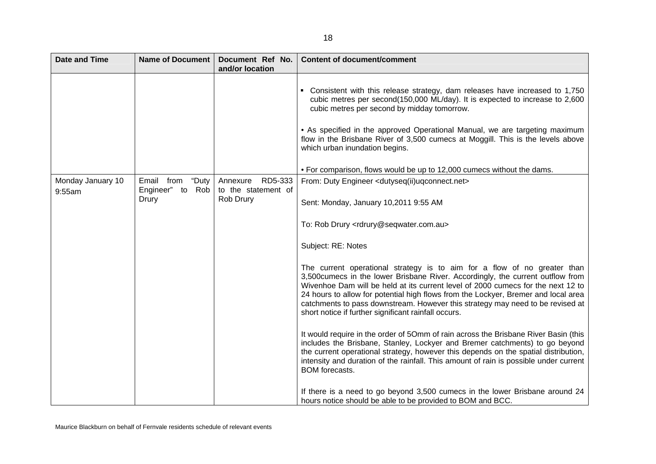| <b>Date and Time</b> | <b>Name of Document</b>   | Document Ref No.<br>and/or location | <b>Content of document/comment</b>                                                                                                                                                                                                                                                                                                                                                                                                                                                         |
|----------------------|---------------------------|-------------------------------------|--------------------------------------------------------------------------------------------------------------------------------------------------------------------------------------------------------------------------------------------------------------------------------------------------------------------------------------------------------------------------------------------------------------------------------------------------------------------------------------------|
|                      |                           |                                     | • Consistent with this release strategy, dam releases have increased to 1,750<br>cubic metres per second(150,000 ML/day). It is expected to increase to 2,600<br>cubic metres per second by midday tomorrow.<br>• As specified in the approved Operational Manual, we are targeting maximum<br>flow in the Brisbane River of 3,500 cumecs at Moggill. This is the levels above<br>which urban inundation begins.<br>• For comparison, flows would be up to 12,000 cumecs without the dams. |
| Monday January 10    | "Duty<br>Email from       | RD5-333<br>Annexure                 | From: Duty Engineer <dutyseq(ii)uqconnect.net></dutyseq(ii)uqconnect.net>                                                                                                                                                                                                                                                                                                                                                                                                                  |
| 9:55am               | Engineer" to Rob<br>Drury | to the statement of<br>Rob Drury    | Sent: Monday, January 10,2011 9:55 AM                                                                                                                                                                                                                                                                                                                                                                                                                                                      |
|                      |                           |                                     | To: Rob Drury <rdrury@seqwater.com.au></rdrury@seqwater.com.au>                                                                                                                                                                                                                                                                                                                                                                                                                            |
|                      |                           |                                     | Subject: RE: Notes                                                                                                                                                                                                                                                                                                                                                                                                                                                                         |
|                      |                           |                                     | The current operational strategy is to aim for a flow of no greater than<br>3,500cumecs in the lower Brisbane River. Accordingly, the current outflow from<br>Wivenhoe Dam will be held at its current level of 2000 cumecs for the next 12 to<br>24 hours to allow for potential high flows from the Lockyer, Bremer and local area<br>catchments to pass downstream. However this strategy may need to be revised at<br>short notice if further significant rainfall occurs.             |
|                      |                           |                                     | It would require in the order of 50mm of rain across the Brisbane River Basin (this<br>includes the Brisbane, Stanley, Lockyer and Bremer catchments) to go beyond<br>the current operational strategy, however this depends on the spatial distribution,<br>intensity and duration of the rainfall. This amount of rain is possible under current<br><b>BOM</b> forecasts.                                                                                                                |
|                      |                           |                                     | If there is a need to go beyond 3,500 cumecs in the lower Brisbane around 24<br>hours notice should be able to be provided to BOM and BCC.                                                                                                                                                                                                                                                                                                                                                 |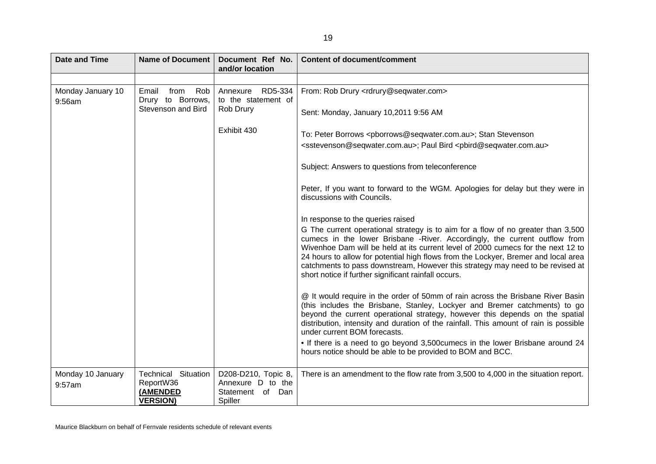| <b>Date and Time</b>        | <b>Name of Document</b>                                                | Document Ref No.<br>and/or location                                           | <b>Content of document/comment</b>                                                                                                                                                                                                                                                                                                                                                                                                                                                 |                                       |
|-----------------------------|------------------------------------------------------------------------|-------------------------------------------------------------------------------|------------------------------------------------------------------------------------------------------------------------------------------------------------------------------------------------------------------------------------------------------------------------------------------------------------------------------------------------------------------------------------------------------------------------------------------------------------------------------------|---------------------------------------|
|                             |                                                                        |                                                                               |                                                                                                                                                                                                                                                                                                                                                                                                                                                                                    |                                       |
| Monday January 10<br>9:56am | Email<br>from<br>Rob<br>Drury to Borrows,                              | RD5-334<br>Annexure<br>to the statement of                                    | From: Rob Drury <rdrury@seqwater.com></rdrury@seqwater.com>                                                                                                                                                                                                                                                                                                                                                                                                                        |                                       |
|                             | Stevenson and Bird                                                     | Rob Drury                                                                     |                                                                                                                                                                                                                                                                                                                                                                                                                                                                                    | Sent: Monday, January 10,2011 9:56 AM |
|                             |                                                                        | Exhibit 430                                                                   | To: Peter Borrows <pborrows@seqwater.com.au>; Stan Stevenson<br/><sstevenson@seqwater.com.au>; Paul Bird <pbird@seqwater.com.au></pbird@seqwater.com.au></sstevenson@seqwater.com.au></pborrows@seqwater.com.au>                                                                                                                                                                                                                                                                   |                                       |
|                             |                                                                        |                                                                               | Subject: Answers to questions from teleconference                                                                                                                                                                                                                                                                                                                                                                                                                                  |                                       |
|                             |                                                                        |                                                                               | Peter, If you want to forward to the WGM. Apologies for delay but they were in<br>discussions with Councils.                                                                                                                                                                                                                                                                                                                                                                       |                                       |
|                             |                                                                        |                                                                               | In response to the queries raised                                                                                                                                                                                                                                                                                                                                                                                                                                                  |                                       |
|                             |                                                                        |                                                                               | G The current operational strategy is to aim for a flow of no greater than 3,500<br>cumecs in the lower Brisbane -River. Accordingly, the current outflow from<br>Wivenhoe Dam will be held at its current level of 2000 cumecs for the next 12 to<br>24 hours to allow for potential high flows from the Lockyer, Bremer and local area<br>catchments to pass downstream, However this strategy may need to be revised at<br>short notice if further significant rainfall occurs. |                                       |
|                             |                                                                        |                                                                               | @ It would require in the order of 50mm of rain across the Brisbane River Basin<br>(this includes the Brisbane, Stanley, Lockyer and Bremer catchments) to go<br>beyond the current operational strategy, however this depends on the spatial<br>distribution, intensity and duration of the rainfall. This amount of rain is possible<br>under current BOM forecasts.                                                                                                             |                                       |
|                             |                                                                        |                                                                               | • If there is a need to go beyond 3,500 cumecs in the lower Brisbane around 24<br>hours notice should be able to be provided to BOM and BCC.                                                                                                                                                                                                                                                                                                                                       |                                       |
| Monday 10 January<br>9:57am | <b>Technical Situation</b><br>ReportW36<br>(AMENDED<br><b>VERSION)</b> | D208-D210, Topic 8,<br>Annexure D to the<br>of<br>Dan<br>Statement<br>Spiller | There is an amendment to the flow rate from 3,500 to 4,000 in the situation report.                                                                                                                                                                                                                                                                                                                                                                                                |                                       |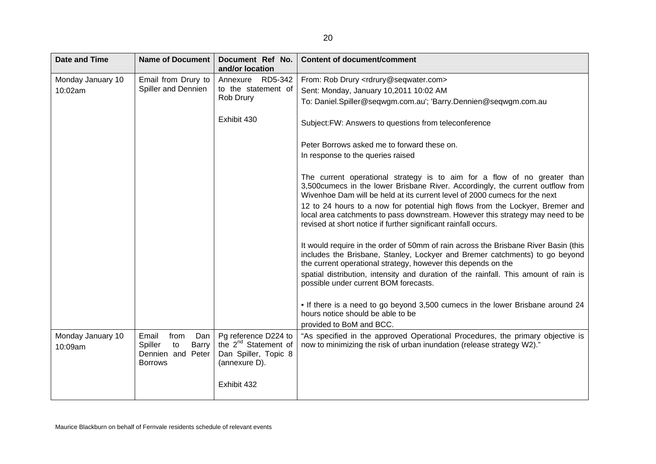| <b>Date and Time</b>         | <b>Name of Document</b>                                                               | Document Ref No.<br>and/or location                                                                              | <b>Content of document/comment</b>                                                                                                                                                                                                                                                                                                                                                                                                                                                                                                                                     |
|------------------------------|---------------------------------------------------------------------------------------|------------------------------------------------------------------------------------------------------------------|------------------------------------------------------------------------------------------------------------------------------------------------------------------------------------------------------------------------------------------------------------------------------------------------------------------------------------------------------------------------------------------------------------------------------------------------------------------------------------------------------------------------------------------------------------------------|
| Monday January 10            | Email from Drury to                                                                   | Annexure RD5-342                                                                                                 | From: Rob Drury <rdrury@seqwater.com></rdrury@seqwater.com>                                                                                                                                                                                                                                                                                                                                                                                                                                                                                                            |
| 10:02am                      | Spiller and Dennien                                                                   | to the statement of                                                                                              | Sent: Monday, January 10,2011 10:02 AM                                                                                                                                                                                                                                                                                                                                                                                                                                                                                                                                 |
|                              |                                                                                       | Rob Drury                                                                                                        | To: Daniel.Spiller@seqwgm.com.au'; 'Barry.Dennien@seqwgm.com.au                                                                                                                                                                                                                                                                                                                                                                                                                                                                                                        |
|                              |                                                                                       | Exhibit 430                                                                                                      | Subject: FW: Answers to questions from teleconference                                                                                                                                                                                                                                                                                                                                                                                                                                                                                                                  |
|                              |                                                                                       |                                                                                                                  | Peter Borrows asked me to forward these on.                                                                                                                                                                                                                                                                                                                                                                                                                                                                                                                            |
|                              |                                                                                       |                                                                                                                  | In response to the queries raised                                                                                                                                                                                                                                                                                                                                                                                                                                                                                                                                      |
|                              |                                                                                       |                                                                                                                  | The current operational strategy is to aim for a flow of no greater than<br>3,500 cumecs in the lower Brisbane River. Accordingly, the current outflow from<br>Wivenhoe Dam will be held at its current level of 2000 cumecs for the next<br>12 to 24 hours to a now for potential high flows from the Lockyer, Bremer and<br>local area catchments to pass downstream. However this strategy may need to be<br>revised at short notice if further significant rainfall occurs.<br>It would require in the order of 50mm of rain across the Brisbane River Basin (this |
|                              |                                                                                       |                                                                                                                  | includes the Brisbane, Stanley, Lockyer and Bremer catchments) to go beyond<br>the current operational strategy, however this depends on the<br>spatial distribution, intensity and duration of the rainfall. This amount of rain is<br>possible under current BOM forecasts.                                                                                                                                                                                                                                                                                          |
|                              |                                                                                       |                                                                                                                  | • If there is a need to go beyond 3,500 cumecs in the lower Brisbane around 24<br>hours notice should be able to be<br>provided to BoM and BCC.                                                                                                                                                                                                                                                                                                                                                                                                                        |
| Monday January 10<br>10:09am | Email<br>from<br>Dan<br>Spiller<br>Barry<br>to<br>Dennien and Peter<br><b>Borrows</b> | Pg reference D224 to<br>the 2 <sup>nd</sup> Statement of<br>Dan Spiller, Topic 8<br>(annexure D).<br>Exhibit 432 | "As specified in the approved Operational Procedures, the primary objective is<br>now to minimizing the risk of urban inundation (release strategy W2)."                                                                                                                                                                                                                                                                                                                                                                                                               |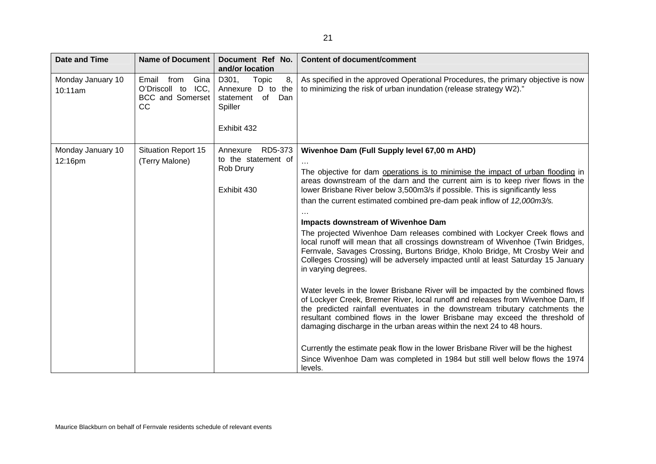| <b>Date and Time</b>         | <b>Name of Document</b>                                                         | Document Ref No.<br>and/or location                                                           | <b>Content of document/comment</b>                                                                                                                                                                                                                                                                                                                                                                                                                                                                                                                                                                                                                                                                                                                                                                                                                                                                                                                                                                                                                                                                                                                                                                                                                                                                                                                                       |
|------------------------------|---------------------------------------------------------------------------------|-----------------------------------------------------------------------------------------------|--------------------------------------------------------------------------------------------------------------------------------------------------------------------------------------------------------------------------------------------------------------------------------------------------------------------------------------------------------------------------------------------------------------------------------------------------------------------------------------------------------------------------------------------------------------------------------------------------------------------------------------------------------------------------------------------------------------------------------------------------------------------------------------------------------------------------------------------------------------------------------------------------------------------------------------------------------------------------------------------------------------------------------------------------------------------------------------------------------------------------------------------------------------------------------------------------------------------------------------------------------------------------------------------------------------------------------------------------------------------------|
| Monday January 10<br>10:11am | Gina<br>Email<br>from<br>O'Driscoll to<br>ICC,<br><b>BCC</b> and Somerset<br>CC | Topic<br>D301,<br>8,<br>Annexure D to the<br>statement<br>of<br>Dan<br>Spiller<br>Exhibit 432 | As specified in the approved Operational Procedures, the primary objective is now<br>to minimizing the risk of urban inundation (release strategy W2)."                                                                                                                                                                                                                                                                                                                                                                                                                                                                                                                                                                                                                                                                                                                                                                                                                                                                                                                                                                                                                                                                                                                                                                                                                  |
| Monday January 10<br>12:16pm | <b>Situation Report 15</b><br>(Terry Malone)                                    | RD5-373<br>Annexure<br>to the statement of<br>Rob Drury<br>Exhibit 430                        | Wivenhoe Dam (Full Supply level 67,00 m AHD)<br>The objective for dam operations is to minimise the impact of urban flooding in<br>areas downstream of the darn and the current aim is to keep river flows in the<br>lower Brisbane River below 3,500m3/s if possible. This is significantly less<br>than the current estimated combined pre-dam peak inflow of 12,000m3/s.<br>Impacts downstream of Wivenhoe Dam<br>The projected Wivenhoe Dam releases combined with Lockyer Creek flows and<br>local runoff will mean that all crossings downstream of Wivenhoe (Twin Bridges,<br>Fernvale, Savages Crossing, Burtons Bridge, Kholo Bridge, Mt Crosby Weir and<br>Colleges Crossing) will be adversely impacted until at least Saturday 15 January<br>in varying degrees.<br>Water levels in the lower Brisbane River will be impacted by the combined flows<br>of Lockyer Creek, Bremer River, local runoff and releases from Wivenhoe Dam, If<br>the predicted rainfall eventuates in the downstream tributary catchments the<br>resultant combined flows in the lower Brisbane may exceed the threshold of<br>damaging discharge in the urban areas within the next 24 to 48 hours.<br>Currently the estimate peak flow in the lower Brisbane River will be the highest<br>Since Wivenhoe Dam was completed in 1984 but still well below flows the 1974<br>levels. |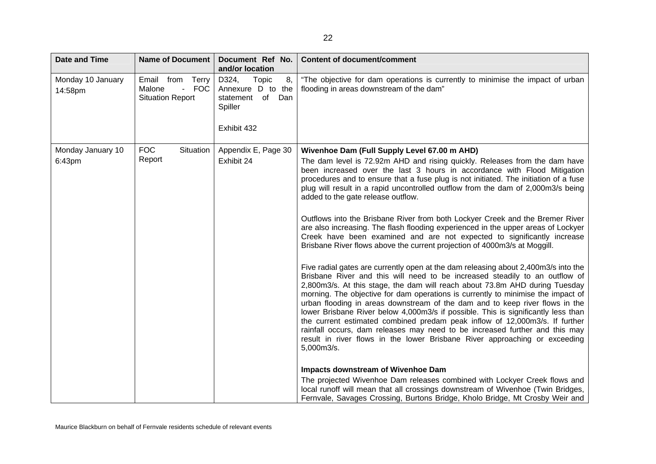| <b>Date and Time</b>         | Name of Document                                               | Document Ref No.<br>and/or location                                                     | <b>Content of document/comment</b>                                                                                                                                                                                                                                                                                                                                                                                                                                                                                                                                                                                                                                                                                                                                                                                                                                                                                                                                                                                                                                                                                                                                                                                                                                                                                                                                                                                                                                                                                                                                                                                                               |
|------------------------------|----------------------------------------------------------------|-----------------------------------------------------------------------------------------|--------------------------------------------------------------------------------------------------------------------------------------------------------------------------------------------------------------------------------------------------------------------------------------------------------------------------------------------------------------------------------------------------------------------------------------------------------------------------------------------------------------------------------------------------------------------------------------------------------------------------------------------------------------------------------------------------------------------------------------------------------------------------------------------------------------------------------------------------------------------------------------------------------------------------------------------------------------------------------------------------------------------------------------------------------------------------------------------------------------------------------------------------------------------------------------------------------------------------------------------------------------------------------------------------------------------------------------------------------------------------------------------------------------------------------------------------------------------------------------------------------------------------------------------------------------------------------------------------------------------------------------------------|
| Monday 10 January<br>14:58pm | Email from Terry<br>- FOC<br>Malone<br><b>Situation Report</b> | D324,<br>Topic<br>8,<br>Annexure D to the<br>statement of Dan<br>Spiller<br>Exhibit 432 | "The objective for dam operations is currently to minimise the impact of urban<br>flooding in areas downstream of the dam"                                                                                                                                                                                                                                                                                                                                                                                                                                                                                                                                                                                                                                                                                                                                                                                                                                                                                                                                                                                                                                                                                                                                                                                                                                                                                                                                                                                                                                                                                                                       |
| Monday January 10<br>6:43pm  | <b>FOC</b><br>Situation<br>Report                              | Appendix E, Page 30<br>Exhibit 24                                                       | Wivenhoe Dam (Full Supply Level 67.00 m AHD)<br>The dam level is 72.92m AHD and rising quickly. Releases from the dam have<br>been increased over the last 3 hours in accordance with Flood Mitigation<br>procedures and to ensure that a fuse plug is not initiated. The initiation of a fuse<br>plug will result in a rapid uncontrolled outflow from the dam of 2,000m3/s being<br>added to the gate release outflow.<br>Outflows into the Brisbane River from both Lockyer Creek and the Bremer River<br>are also increasing. The flash flooding experienced in the upper areas of Lockyer<br>Creek have been examined and are not expected to significantly increase<br>Brisbane River flows above the current projection of 4000m3/s at Moggill.<br>Five radial gates are currently open at the dam releasing about 2,400m3/s into the<br>Brisbane River and this will need to be increased steadily to an outflow of<br>2,800m3/s. At this stage, the dam will reach about 73.8m AHD during Tuesday<br>morning. The objective for dam operations is currently to minimise the impact of<br>urban flooding in areas downstream of the dam and to keep river flows in the<br>lower Brisbane River below 4,000m3/s if possible. This is significantly less than<br>the current estimated combined predam peak inflow of 12,000m3/s. If further<br>rainfall occurs, dam releases may need to be increased further and this may<br>result in river flows in the lower Brisbane River approaching or exceeding<br>5,000m3/s.<br>Impacts downstream of Wivenhoe Dam<br>The projected Wivenhoe Dam releases combined with Lockyer Creek flows and |
|                              |                                                                |                                                                                         | local runoff will mean that all crossings downstream of Wivenhoe (Twin Bridges,<br>Fernvale, Savages Crossing, Burtons Bridge, Kholo Bridge, Mt Crosby Weir and                                                                                                                                                                                                                                                                                                                                                                                                                                                                                                                                                                                                                                                                                                                                                                                                                                                                                                                                                                                                                                                                                                                                                                                                                                                                                                                                                                                                                                                                                  |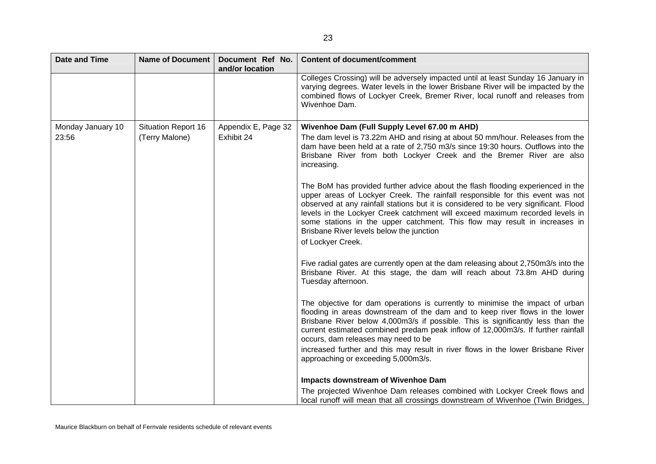| <b>Date and Time</b> | Name of Document           | Document Ref No.<br>and/or location | <b>Content of document/comment</b>                                                                                                                                                                                                                                                                                                                                                                                                                                                      |
|----------------------|----------------------------|-------------------------------------|-----------------------------------------------------------------------------------------------------------------------------------------------------------------------------------------------------------------------------------------------------------------------------------------------------------------------------------------------------------------------------------------------------------------------------------------------------------------------------------------|
|                      |                            |                                     | Colleges Crossing) will be adversely impacted until at least Sunday 16 January in<br>varying degrees. Water levels in the lower Brisbane River will be impacted by the<br>combined flows of Lockyer Creek, Bremer River, local runoff and releases from<br>Wivenhoe Dam.                                                                                                                                                                                                                |
| Monday January 10    | <b>Situation Report 16</b> | Appendix E, Page 32                 | Wivenhoe Dam (Full Supply Level 67.00 m AHD)                                                                                                                                                                                                                                                                                                                                                                                                                                            |
| 23:56                | (Terry Malone)             | Exhibit 24                          | The dam level is 73.22m AHD and rising at about 50 mm/hour. Releases from the<br>dam have been held at a rate of 2,750 m3/s since 19:30 hours. Outflows into the<br>Brisbane River from both Lockyer Creek and the Bremer River are also<br>increasing.                                                                                                                                                                                                                                 |
|                      |                            |                                     | The BoM has provided further advice about the flash flooding experienced in the<br>upper areas of Lockyer Creek. The rainfall responsible for this event was not<br>observed at any rainfall stations but it is considered to be very significant. Flood<br>levels in the Lockyer Creek catchment will exceed maximum recorded levels in<br>some stations in the upper catchment. This flow may result in increases in<br>Brisbane River levels below the junction<br>of Lockyer Creek. |
|                      |                            |                                     | Five radial gates are currently open at the dam releasing about 2,750m3/s into the<br>Brisbane River. At this stage, the dam will reach about 73.8m AHD during<br>Tuesday afternoon.                                                                                                                                                                                                                                                                                                    |
|                      |                            |                                     | The objective for dam operations is currently to minimise the impact of urban<br>flooding in areas downstream of the dam and to keep river flows in the lower<br>Brisbane River below 4,000m3/s if possible. This is significantly less than the<br>current estimated combined predam peak inflow of 12,000m3/s. If further rainfall<br>occurs, dam releases may need to be                                                                                                             |
|                      |                            |                                     | increased further and this may result in river flows in the lower Brisbane River<br>approaching or exceeding 5,000m3/s.                                                                                                                                                                                                                                                                                                                                                                 |
|                      |                            |                                     | <b>Impacts downstream of Wivenhoe Dam</b>                                                                                                                                                                                                                                                                                                                                                                                                                                               |
|                      |                            |                                     | The projected Wivenhoe Dam releases combined with Lockyer Creek flows and<br>local runoff will mean that all crossings downstream of Wivenhoe (Twin Bridges,                                                                                                                                                                                                                                                                                                                            |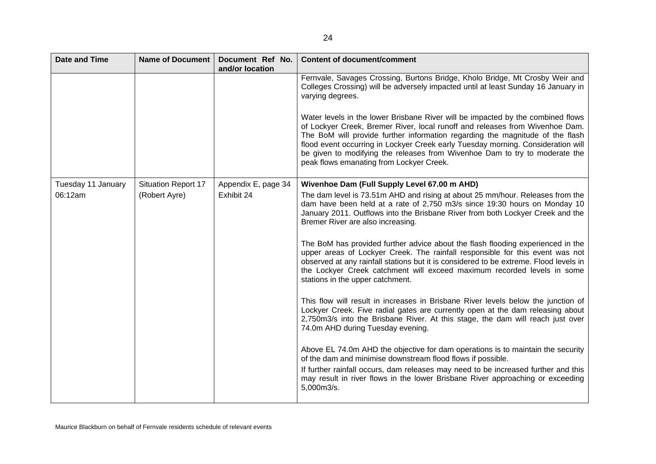| <b>Date and Time</b> | <b>Name of Document</b>    | Document Ref No.<br>and/or location | <b>Content of document/comment</b>                                                                                                                                                                                                                                                                                                                                                                                                                              |
|----------------------|----------------------------|-------------------------------------|-----------------------------------------------------------------------------------------------------------------------------------------------------------------------------------------------------------------------------------------------------------------------------------------------------------------------------------------------------------------------------------------------------------------------------------------------------------------|
|                      |                            |                                     | Fernvale, Savages Crossing, Burtons Bridge, Kholo Bridge, Mt Crosby Weir and<br>Colleges Crossing) will be adversely impacted until at least Sunday 16 January in<br>varying degrees.                                                                                                                                                                                                                                                                           |
|                      |                            |                                     | Water levels in the lower Brisbane River will be impacted by the combined flows<br>of Lockyer Creek, Bremer River, local runoff and releases from Wivenhoe Dam.<br>The BoM will provide further information regarding the magnitude of the flash<br>flood event occurring in Lockyer Creek early Tuesday morning. Consideration will<br>be given to modifying the releases from Wivenhoe Dam to try to moderate the<br>peak flows emanating from Lockyer Creek. |
| Tuesday 11 January   | <b>Situation Report 17</b> | Appendix E, page 34                 | Wivenhoe Dam (Full Supply Level 67.00 m AHD)                                                                                                                                                                                                                                                                                                                                                                                                                    |
| 06:12am              | (Robert Ayre)              | Exhibit 24                          | The dam level is 73.51m AHD and rising at about 25 mm/hour. Releases from the<br>dam have been held at a rate of 2,750 m3/s since 19:30 hours on Monday 10<br>January 2011. Outflows into the Brisbane River from both Lockyer Creek and the<br>Bremer River are also increasing.                                                                                                                                                                               |
|                      |                            |                                     | The BoM has provided further advice about the flash flooding experienced in the<br>upper areas of Lockyer Creek. The rainfall responsible for this event was not<br>observed at any rainfall stations but it is considered to be extreme. Flood levels in<br>the Lockyer Creek catchment will exceed maximum recorded levels in some<br>stations in the upper catchment.                                                                                        |
|                      |                            |                                     | This flow will result in increases in Brisbane River levels below the junction of<br>Lockyer Creek. Five radial gates are currently open at the dam releasing about<br>2,750m3/s into the Brisbane River. At this stage, the dam will reach just over<br>74.0m AHD during Tuesday evening.                                                                                                                                                                      |
|                      |                            |                                     | Above EL 74.0m AHD the objective for dam operations is to maintain the security<br>of the dam and minimise downstream flood flows if possible.<br>If further rainfall occurs, dam releases may need to be increased further and this<br>may result in river flows in the lower Brisbane River approaching or exceeding<br>5,000m3/s.                                                                                                                            |